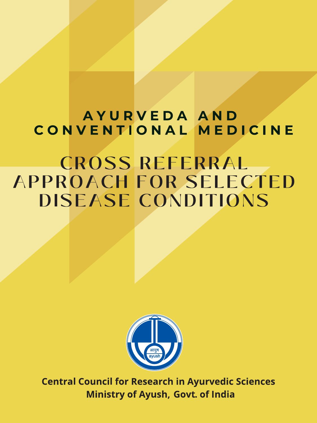## AYURVEDA AND CONVENTIONAL MEDICINE

# **CROSS REFERRAL APPROACH FOR SELECTED DISEASE CONDITIONS**



**Central Council for Research in Ayurvedic Sciences Ministry of Ayush, Govt. of India**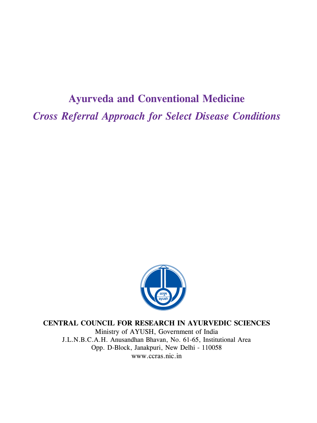## **Ayurveda and Conventional Medicine** *Cross Referral Approach for Select Disease Conditions*



**CENTRAL COUNCIL FOR RESEARCH IN AYURVEDIC SCIENCES**

Ministry of AYUSH, Government of India J.L.N.B.C.A.H. Anusandhan Bhavan, No. 61-65, Institutional Area Opp. D-Block, Janakpuri, New Delhi - 110058 www.ccras.nic.in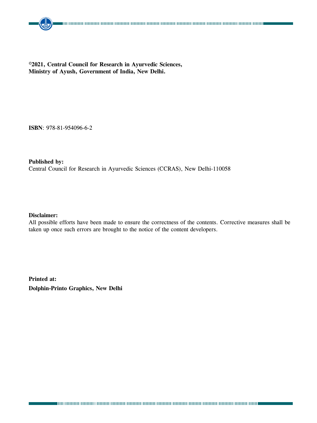#### **©2021, Central Council for Research in Ayurvedic Sciences, Ministry of Ayush, Government of India, New Delhi.**

**ISBN**: 978-81-954096-6-2

#### **Published by:**

Central Council for Research in Ayurvedic Sciences (CCRAS), New Delhi-110058

#### **Disclaimer:**

All possible efforts have been made to ensure the correctness of the contents. Corrective measures shall be taken up once such errors are brought to the notice of the content developers.

**Printed at: Dolphin-Printo Graphics, New Delhi**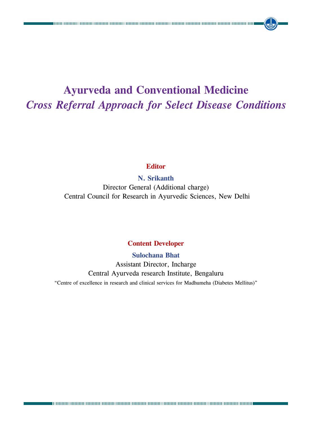## **Ayurveda and Conventional Medicine** *Cross Referral Approach for Select Disease Conditions*

#### **Editor**

#### **N. Srikanth**

Director General (Additional charge) Central Council for Research in Ayurvedic Sciences, New Delhi

#### **Content Developer**

#### **Sulochana Bhat**

Assistant Director, Incharge Central Ayurveda research Institute, Bengaluru "Centre of excellence in research and clinical services for Madhumeha (Diabetes Mellitus)"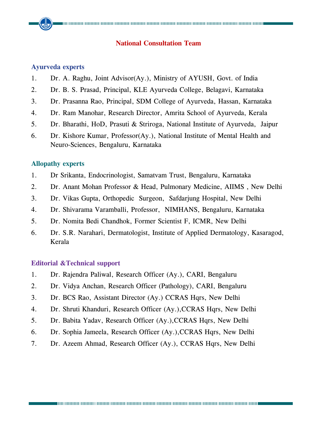#### **National Consultation Team**

#### **Ayurveda experts**

- 1. Dr. A. Raghu, Joint Advisor(Ay.), Ministry of AYUSH, Govt. of India
- 2. Dr. B. S. Prasad, Principal, KLE Ayurveda College, Belagavi, Karnataka
- 3. Dr. Prasanna Rao, Principal, SDM College of Ayurveda, Hassan, Karnataka
- 4. Dr. Ram Manohar, Research Director, Amrita School of Ayurveda, Kerala
- 5. Dr. Bharathi, HoD, Prasuti & Striroga, National Institute of Ayurveda, Jaipur
- 6. Dr. Kishore Kumar, Professor(Ay.), National Institute of Mental Health and Neuro-Sciences, Bengaluru, Karnataka

#### **Allopathy experts**

- 1. Dr Srikanta, Endocrinologist, Samatvam Trust, Bengaluru, Karnataka
- 2. Dr. Anant Mohan Professor & Head, Pulmonary Medicine, AIIMS , New Delhi
- 3. Dr. Vikas Gupta, Orthopedic Surgeon, Safdarjung Hospital, New Delhi
- 4. Dr. Shivarama Varamballi, Professor, NIMHANS, Bengaluru, Karnataka
- 5. Dr. Nomita Bedi Chandhok, Former Scientist F, ICMR, New Delhi
- 6. Dr. S.R. Narahari, Dermatologist, Institute of Applied Dermatology, Kasaragod, Kerala

#### **Editorial &Technical support**

- 1. Dr. Rajendra Paliwal, Research Officer (Ay.), CARI, Bengaluru
- 2. Dr. Vidya Anchan, Research Officer (Pathology), CARI, Bengaluru
- 3. Dr. BCS Rao, Assistant Director (Ay.) CCRAS Hqrs, New Delhi
- 4. Dr. Shruti Khanduri, Research Officer (Ay.),CCRAS Hqrs, New Delhi
- 5. Dr. Babita Yadav, Research Officer (Ay.),CCRAS Hqrs, New Delhi
- 6. Dr. Sophia Jameela, Research Officer (Ay.),CCRAS Hqrs, New Delhi
- 7. Dr. Azeem Ahmad, Research Officer (Ay.), CCRAS Hqrs, New Delhi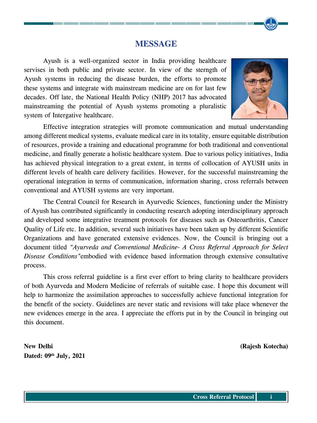#### **MESSAGE**

Ayush is a well-organized sector in India providing healthcare servises in both public and private sector. In view of the sterngth of Ayush systems in reducing the disease burden, the efforts to promote these systems and integrate with mainstream medicine are on for last few decades. Off late, the National Health Policy (NHP) 2017 has advocated mainstreaming the potential of Ayush systems promoting a pluralistic system of Intergative healthcare.



Effective integration strategies will promote communication and mutual understanding among different medical systems, evaluate medical care in its totality, ensure equitable distribution of resources, provide a training and educational programme for both traditional and conventional medicine, and finally generate a holistic healthcare system. Due to various policy initiatives, India has achieved physical integration to a great extent, in terms of collocation of AYUSH units in different levels of health care delivery facilities. However, for the successful mainstreaming the operational integration in terms of communication, information sharing, cross referrals between conventional and AYUSH systems are very important.

The Central Council for Research in Ayurvedic Sciences, functioning under the Ministry of Ayush has contributed significantly in conducting research adopting interdisciplinary approach and developed some integrative treatment protocols for diseases such as Osteoarthritis, Cancer Quality of Life etc. In addition, several such initiatives have been taken up by different Scientific Organizations and have generated extensive evidences. Now, the Council is bringing out a document titled *"Ayurveda and Conventional Medicine- A Cross Referral Approach for Select Disease Conditions"*embodied with evidence based information through extensive consultative process.

This cross referral guideline is a first ever effort to bring clarity to healthcare providers of both Ayurveda and Modern Medicine of referrals of suitable case. I hope this document will help to harmonize the assimilation approaches to successfully achieve functional integration for the benefit of the society. Guidelines are never static and revisions will take place whenever the new evidences emerge in the area. I appreciate the efforts put in by the Council in bringing out this document.

**New Delhi (Rajesh Kotecha) Dated: 09th July, 2021**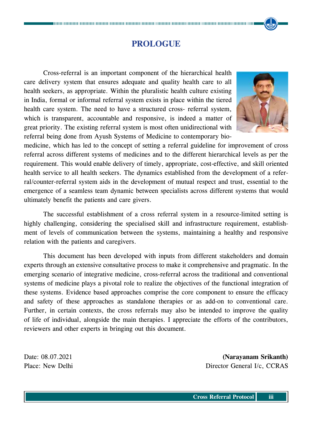## **PROLOGUE**

Cross-referral is an important component of the hierarchical health care delivery system that ensures adequate and quality health care to all health seekers, as appropriate. Within the pluralistic health culture existing in India, formal or informal referral system exists in place within the tiered health care system. The need to have a structured cross- referral system, which is transparent, accountable and responsive, is indeed a matter of great priority. The existing referral system is most often unidirectional with referral being done from Ayush Systems of Medicine to contemporary bio-



medicine, which has led to the concept of setting a referral guideline for improvement of cross referral across different systems of medicines and to the different hierarchical levels as per the requirement. This would enable delivery of timely, appropriate, cost-effective, and skill oriented health service to all health seekers. The dynamics established from the development of a referral/counter-referral system aids in the development of mutual respect and trust, essential to the emergence of a seamless team dynamic between specialists across different systems that would ultimately benefit the patients and care givers.

The successful establishment of a cross referral system in a resource-limited setting is highly challenging, considering the specialised skill and infrastructure requirement, establishment of levels of communication between the systems, maintaining a healthy and responsive relation with the patients and caregivers.

This document has been developed with inputs from different stakeholders and domain experts through an extensive consultative process to make it comprehensive and pragmatic. In the emerging scenario of integrative medicine, cross-referral across the traditional and conventional systems of medicine plays a pivotal role to realize the objectives of the functional integration of these systems. Evidence based approaches comprise the core component to ensure the efficacy and safety of these approaches as standalone therapies or as add-on to conventional care. Further, in certain contexts, the cross referrals may also be intended to improve the quality of life of individual, alongside the main therapies. I appreciate the efforts of the contributors, reviewers and other experts in bringing out this document.

Date: 08.07.2021 **(Narayanam Srikanth)** Place: New Delhi Director General I/c, CCRAS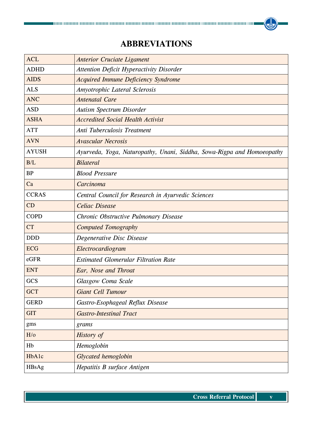## **ABBREVIATIONS**

| <b>ACL</b>   | <b>Anterior Cruciate Ligament</b>                                      |  |  |  |  |  |  |
|--------------|------------------------------------------------------------------------|--|--|--|--|--|--|
| <b>ADHD</b>  | <b>Attention Deficit Hyperactivity Disorder</b>                        |  |  |  |  |  |  |
| <b>AIDS</b>  | <b>Acquired Immune Deficiency Syndrome</b>                             |  |  |  |  |  |  |
| <b>ALS</b>   | Amyotrophic Lateral Sclerosis                                          |  |  |  |  |  |  |
| <b>ANC</b>   | <b>Antenatal Care</b>                                                  |  |  |  |  |  |  |
| <b>ASD</b>   | <b>Autism Spectrum Disorder</b>                                        |  |  |  |  |  |  |
| <b>ASHA</b>  | <b>Accredited Social Health Activist</b>                               |  |  |  |  |  |  |
| <b>ATT</b>   | Anti Tuberculosis Treatment                                            |  |  |  |  |  |  |
| <b>AVN</b>   | <b>Avascular Necrosis</b>                                              |  |  |  |  |  |  |
| <b>AYUSH</b> | Ayurveda, Yoga, Naturopathy, Unani, Siddha, Sowa-Rigpa and Homoeopathy |  |  |  |  |  |  |
| B/L          | <b>Bilateral</b>                                                       |  |  |  |  |  |  |
| <b>BP</b>    | <b>Blood Pressure</b>                                                  |  |  |  |  |  |  |
| Ca           | Carcinoma                                                              |  |  |  |  |  |  |
| <b>CCRAS</b> | Central Council for Research in Ayurvedic Sciences                     |  |  |  |  |  |  |
| CD           | <b>Celiac Disease</b>                                                  |  |  |  |  |  |  |
| <b>COPD</b>  | Chronic Obstructive Pulmonary Disease                                  |  |  |  |  |  |  |
| <b>CT</b>    | <b>Computed Tomography</b>                                             |  |  |  |  |  |  |
| <b>DDD</b>   | Degenerative Disc Disease                                              |  |  |  |  |  |  |
| <b>ECG</b>   | Electrocardiogram                                                      |  |  |  |  |  |  |
| eGFR         | <b>Estimated Glomerular Filtration Rate</b>                            |  |  |  |  |  |  |
| <b>ENT</b>   | Ear, Nose and Throat                                                   |  |  |  |  |  |  |
| GCS          | <b>Glasgow Coma Scale</b>                                              |  |  |  |  |  |  |
| <b>GCT</b>   | Giant Cell Tumour                                                      |  |  |  |  |  |  |
| <b>GERD</b>  | Gastro-Esophageal Reflux Disease                                       |  |  |  |  |  |  |
| <b>GIT</b>   | <b>Gastro-Intestinal Tract</b>                                         |  |  |  |  |  |  |
| gms          | grams                                                                  |  |  |  |  |  |  |
| H/O          | History of                                                             |  |  |  |  |  |  |
| Hb           | Hemoglobin                                                             |  |  |  |  |  |  |
| HbA1c        | Glycated hemoglobin                                                    |  |  |  |  |  |  |
| HBsAg        | Hepatitis B surface Antigen                                            |  |  |  |  |  |  |

**Ke**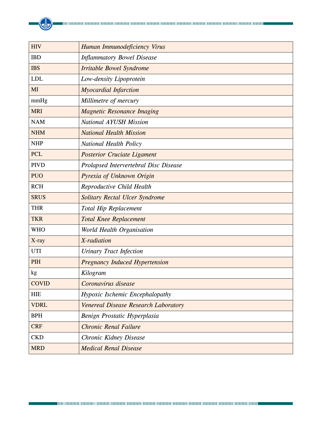| <b>HIV</b>   | Human Immunodeficiency Virus          |  |  |  |  |  |
|--------------|---------------------------------------|--|--|--|--|--|
| <b>IBD</b>   | <b>Inflammatory Bowel Disease</b>     |  |  |  |  |  |
| <b>IBS</b>   | <b>Irritable Bowel Syndrome</b>       |  |  |  |  |  |
| <b>LDL</b>   | Low-density Lipoprotein               |  |  |  |  |  |
| MI           | <b>Myocardial Infarction</b>          |  |  |  |  |  |
| mmHg         | Millimetre of mercury                 |  |  |  |  |  |
| <b>MRI</b>   | <b>Magnetic Resonance Imaging</b>     |  |  |  |  |  |
| <b>NAM</b>   | <b>National AYUSH Mission</b>         |  |  |  |  |  |
| <b>NHM</b>   | <b>National Health Mission</b>        |  |  |  |  |  |
| <b>NHP</b>   | National Health Policy                |  |  |  |  |  |
| <b>PCL</b>   | <b>Posterior Cruciate Ligament</b>    |  |  |  |  |  |
| <b>PIVD</b>  | Prolapsed Intervertebral Disc Disease |  |  |  |  |  |
| <b>PUO</b>   | Pyrexia of Unknown Origin             |  |  |  |  |  |
| <b>RCH</b>   | Reproductive Child Health             |  |  |  |  |  |
| <b>SRUS</b>  | Solitary Rectal Ulcer Syndrome        |  |  |  |  |  |
| <b>THR</b>   | <b>Total Hip Replacement</b>          |  |  |  |  |  |
| <b>TKR</b>   | <b>Total Knee Replacement</b>         |  |  |  |  |  |
| <b>WHO</b>   | World Health Organisation             |  |  |  |  |  |
| X-ray        | X-radiation                           |  |  |  |  |  |
| <b>UTI</b>   | <b>Urinary Tract Infection</b>        |  |  |  |  |  |
| PIH          | <b>Pregnancy Induced Hypertension</b> |  |  |  |  |  |
| kg           | Kilogram                              |  |  |  |  |  |
| <b>COVID</b> | Coronavirus disease                   |  |  |  |  |  |
| <b>HIE</b>   | Hypoxic Ischemic Encephalopathy       |  |  |  |  |  |
| <b>VDRL</b>  | Venereal Disease Research Laboratory  |  |  |  |  |  |
| <b>BPH</b>   | Benign Prostatic Hyperplasia          |  |  |  |  |  |
| <b>CRF</b>   | <b>Chronic Renal Failure</b>          |  |  |  |  |  |
| <b>CKD</b>   | Chronic Kidney Disease                |  |  |  |  |  |
| <b>MRD</b>   | <b>Medical Renal Disease</b>          |  |  |  |  |  |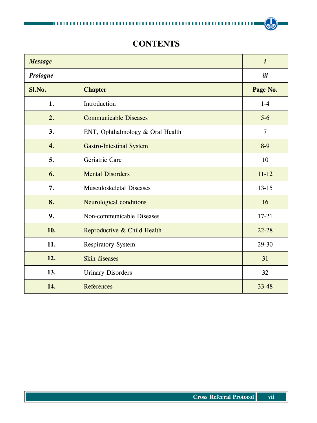## **CONTENTS**

| <b>Message</b>  | $\boldsymbol{i}$                 |                |  |  |  |
|-----------------|----------------------------------|----------------|--|--|--|
| <b>Prologue</b> | iii                              |                |  |  |  |
| Sl.No.          | <b>Chapter</b>                   |                |  |  |  |
| 1.              | Introduction                     |                |  |  |  |
| 2.              | <b>Communicable Diseases</b>     |                |  |  |  |
| 3.              | ENT, Ophthalmology & Oral Health | $\overline{7}$ |  |  |  |
| 4.              | <b>Gastro-Intestinal System</b>  | $8-9$          |  |  |  |
| 5.              | Geriatric Care                   | 10             |  |  |  |
| 6.              | <b>Mental Disorders</b>          |                |  |  |  |
| 7.              | <b>Musculoskeletal Diseases</b>  | $13 - 15$      |  |  |  |
| 8.              | Neurological conditions          | 16             |  |  |  |
| 9.              | Non-communicable Diseases        | $17 - 21$      |  |  |  |
| 10.             | Reproductive & Child Health      | $22 - 28$      |  |  |  |
| 11.             | <b>Respiratory System</b>        |                |  |  |  |
| 12.             | <b>Skin diseases</b>             |                |  |  |  |
| 13.             | <b>Urinary Disorders</b>         | 32             |  |  |  |
| 14.             | References                       | $33 - 48$      |  |  |  |

**(d)**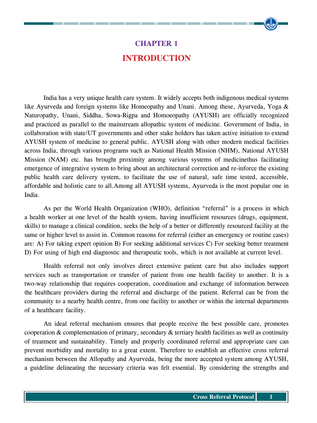## **CHAPTER 1 Introduction**

India has a very unique health care system. It widely accepts both indigenous medical systems like Ayurveda and foreign systems like Homeopathy and Unani. Among these, Ayurveda, Yoga & Naturopathy, Unani, Siddha, Sowa-Rigpa and Homoeopathy (AYUSH) are officially recognized and practiced as parallel to the mainstream allopathic system of medicine. Government of India, in collaboration with state/UT governments and other stake holders has taken active initiation to extend AYUSH system of medicine to general public. AYUSH along with other modern medical facilities across India, through various programs such as National Health Mission (NHM), National AYUSH Mission (NAM) etc. has brought proximity among various systems of medicinethus facilitating emergence of integrative system to bring about an architectural correction and re-inforce the existing public health care delivery system, to facilitate the use of natural, safe time tested, accessible, affordable and holistic care to all.Among all AYUSH systems, Ayurveda is the most popular one in India.

As per the World Health Organization (WHO), definition "referral" is a process in which a health worker at one level of the health system, having insufficient resources (drugs, equipment, skills) to manage a clinical condition, seeks the help of a better or differently resourced facility at the same or higher level to assist in. Common reasons for referral (either an emergency or routine cases) are: A) For taking expert opinion B) For seeking additional services C) For seeking better treatment D) For using of high end diagnostic and therapeutic tools, which is not available at current level.

Health referral not only involves direct extensive patient care but also includes support services such as transportation or transfer of patient from one health facility to another. It is a two-way relationship that requires cooperation, coordination and exchange of information between the healthcare providers during the referral and discharge of the patient. Referral can be from the community to a nearby health centre, from one facility to another or within the internal departments of a healthcare facility.

An ideal referral mechanism ensures that people receive the best possible care, promotes cooperation & complementation of primary, secondary & tertiary health facilities as well as continuity of treatment and sustainability. Timely and properly coordinated referral and appropriate care can prevent morbidity and mortality to a great extent. Therefore to establish an effective cross referral mechanism between the Allopathy and Ayurveda, being the more accepted system among AYUSH, a guideline delineating the necessary criteria was felt essential. By considering the strengths and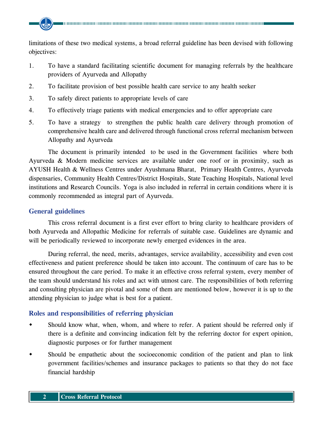limitations of these two medical systems, a broad referral guideline has been devised with following objectives:

- 1. To have a standard facilitating scientific document for managing referrals by the healthcare providers of Ayurveda and Allopathy
- 2. To facilitate provision of best possible health care service to any health seeker
- 3. To safely direct patients to appropriate levels of care
- 4. To effectively triage patients with medical emergencies and to offer appropriate care
- 5. To have a strategy to strengthen the public health care delivery through promotion of comprehensive health care and delivered through functional cross referral mechanism between Allopathy and Ayurveda

The document is primarily intended to be used in the Government facilities where both Ayurveda & Modern medicine services are available under one roof or in proximity, such as AYUSH Health & Wellness Centres under Ayushmana Bharat, Primary Health Centres, Ayurveda dispensaries, Community Health Centres/District Hospitals, State Teaching Hospitals, National level institutions and Research Councils. Yoga is also included in referral in certain conditions where it is commonly recommended as integral part of Ayurveda.

#### **General guidelines**

This cross referral document is a first ever effort to bring clarity to healthcare providers of both Ayurveda and Allopathic Medicine for referrals of suitable case. Guidelines are dynamic and will be periodically reviewed to incorporate newly emerged evidences in the area.

During referral, the need, merits, advantages, service availability, accessibility and even cost effectiveness and patient preference should be taken into account. The continuum of care has to be ensured throughout the care period. To make it an effective cross referral system, every member of the team should understand his roles and act with utmost care. The responsibilities of both referring and consulting physician are pivotal and some of them are mentioned below, however it is up to the attending physician to judge what is best for a patient.

#### **Roles and responsibilities of referring physician**

- Should know what, when, whom, and where to refer. A patient should be referred only if there is a definite and convincing indication felt by the referring doctor for expert opinion, diagnostic purposes or for further management
- Should be empathetic about the socioeconomic condition of the patient and plan to link government facilities/schemes and insurance packages to patients so that they do not face financial hardship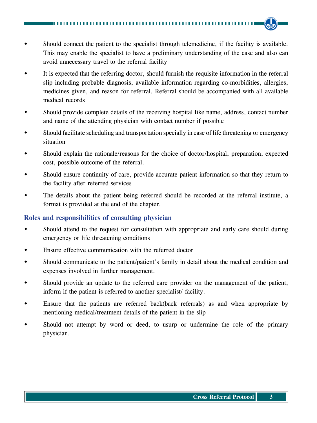- Should connect the patient to the specialist through telemedicine, if the facility is available. This may enable the specialist to have a preliminary understanding of the case and also can avoid unnecessary travel to the referral facility
- It is expected that the referring doctor, should furnish the requisite information in the referral slip including probable diagnosis, available information regarding co-morbidities, allergies, medicines given, and reason for referral. Referral should be accompanied with all available medical records
- Should provide complete details of the receiving hospital like name, address, contact number and name of the attending physician with contact number if possible
- Should facilitate scheduling and transportation specially in case of life threatening or emergency situation
- Should explain the rationale/reasons for the choice of doctor/hospital, preparation, expected cost, possible outcome of the referral.
- Should ensure continuity of care, provide accurate patient information so that they return to the facility after referred services
- The details about the patient being referred should be recorded at the referral institute, a format is provided at the end of the chapter.

#### **Roles and responsibilities of consulting physician**

- Should attend to the request for consultation with appropriate and early care should during emergency or life threatening conditions
- Ensure effective communication with the referred doctor
- Should communicate to the patient/patient's family in detail about the medical condition and expenses involved in further management.
- Should provide an update to the referred care provider on the management of the patient, inform if the patient is referred to another specialist/ facility.
- Ensure that the patients are referred back(back referrals) as and when appropriate by mentioning medical/treatment details of the patient in the slip
- Should not attempt by word or deed, to usurp or undermine the role of the primary physician.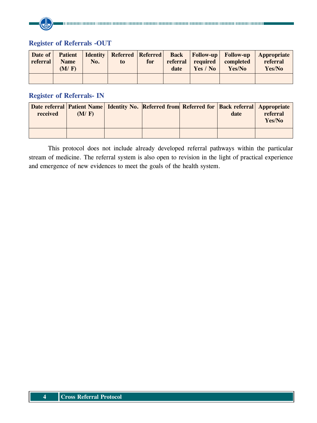#### **Register of Referrals -OUT**

| Date of<br>referral | <b>Patient</b><br><b>Name</b><br>(M/F) | No. | to | for | date | referral required<br>Yes / No | <b>Identity   Referred   Referred   Back   Follow-up   Follow-up</b><br>completed<br>Yes/No | <b>Appropriate</b><br>referral<br>Yes/No |
|---------------------|----------------------------------------|-----|----|-----|------|-------------------------------|---------------------------------------------------------------------------------------------|------------------------------------------|
|                     |                                        |     |    |     |      |                               |                                                                                             |                                          |

#### **Register of Referrals- IN**

| received | (M/F) | Date referral   Patient Name   Identity No.   Referred from   Referred for   Back referral   Appropriate | date | referral<br>Yes/No |
|----------|-------|----------------------------------------------------------------------------------------------------------|------|--------------------|
|          |       |                                                                                                          |      |                    |

This protocol does not include already developed referral pathways within the particular stream of medicine. The referral system is also open to revision in the light of practical experience and emergence of new evidences to meet the goals of the health system.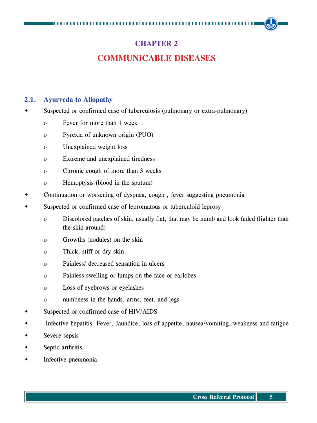### **CHAPTER 2**

## **Communicable Diseases**

#### **2.1. Ayurveda to Allopathy**

- Suspected or confirmed case of tuberculosis (pulmonary or extra-pulmonary)
	- o Fever for more than 1 week
	- o Pyrexia of unknown origin (PUO)
	- o Unexplained weight loss
	- o Extreme and unexplained tiredness
	- o Chronic cough of more than 3 weeks
	- o Hemoptysis (blood in the sputum)
- Continuation or worsening of dyspnea, cough , fever suggesting pneumonia
- Suspected or confirmed case of lepromatous or tuberculoid leprosy
	- o Discolored patches of skin, usually flat, that may be numb and look faded (lighter than the skin around)
	- o Growths (nodules) on the skin
	- o Thick, stiff or dry skin
	- o Painless/ decreased sensation in ulcers
	- o Painless swelling or lumps on the face or earlobes
	- o Loss of eyebrows or eyelashes
	- o numbness in the hands, arms, feet, and legs
- Suspected or confirmed case of HIV/AIDS
- Infective hepatitis- Fever, Jaundice, loss of appetite, nausea/vomiting, weakness and fatigue
- Severe sepsis
- Septic arthritis
- Infective pneumonia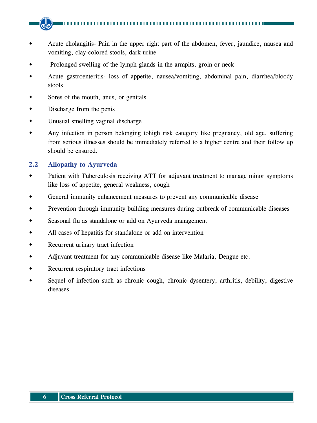- Acute cholangitis- Pain in the upper right part of the abdomen, fever, jaundice, nausea and vomiting, clay-colored stools, dark urine
- Prolonged swelling of the lymph glands in the armpits, groin or neck
- Acute gastroenteritis- loss of appetite, nausea/vomiting, abdominal pain, diarrhea/bloody stools
- Sores of the mouth, anus, or genitals
- Discharge from the penis
- Unusual smelling vaginal discharge
- Any infection in person belonging tohigh risk category like pregnancy, old age, suffering from serious illnesses should be immediately referred to a higher centre and their follow up should be ensured.

#### **2.2 Allopathy to Ayurveda**

- Patient with Tuberculosis receiving ATT for adjuvant treatment to manage minor symptoms like loss of appetite, general weakness, cough
- General immunity enhancement measures to prevent any communicable disease
- Prevention through immunity building measures during outbreak of communicable diseases
- Seasonal flu as standalone or add on Ayurveda management
- All cases of hepatitis for standalone or add on intervention
- Recurrent urinary tract infection
- Adjuvant treatment for any communicable disease like Malaria, Dengue etc.
- Recurrent respiratory tract infections
- Sequel of infection such as chronic cough, chronic dysentery, arthritis, debility, digestive diseases.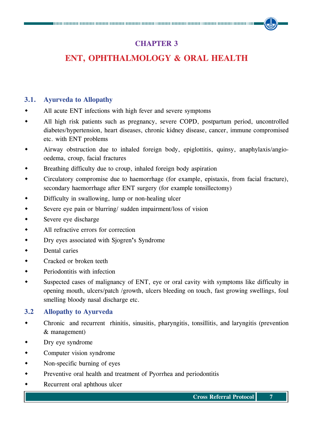## **CHAPTER 3**

## **ENT, Ophthalmology & Oral Health**

#### **3.1. Ayurveda to Allopathy**

- All acute ENT infections with high fever and severe symptoms
- All high risk patients such as pregnancy, severe COPD, postpartum period, uncontrolled diabetes/hypertension, heart diseases, chronic kidney disease, cancer, immune compromised etc. with ENT problems
- Airway obstruction due to inhaled foreign body, epiglottitis, quinsy, anaphylaxis/angiooedema, croup, facial fractures
- Breathing difficulty due to croup, inhaled foreign body aspiration
- Circulatory compromise due to haemorrhage (for example, epistaxis, from facial fracture), secondary haemorrhage after ENT surgery (for example tonsillectomy)
- Difficulty in swallowing, lump or non-healing ulcer
- Severe eye pain or blurring/ sudden impairment/loss of vision
- Severe eye discharge
- All refractive errors for correction
- Dry eyes associated with Sjogren**'**s Syndrome
- Dental caries
- Cracked or broken teeth
- Periodontitis with infection
- Suspected cases of malignancy of ENT, eye or oral cavity with symptoms like difficulty in opening mouth, ulcers/patch /growth, ulcers bleeding on touch, fast growing swellings, foul smelling bloody nasal discharge etc.

#### **3.2 Allopathy to Ayurveda**

- Chronic and recurrent rhinitis, sinusitis, pharyngitis, tonsillitis, and laryngitis (prevention & management)
- Dry eye syndrome
- Computer vision syndrome
- Non-specific burning of eyes
- Preventive oral health and treatment of Pyorrhea and periodontitis
- Recurrent oral aphthous ulcer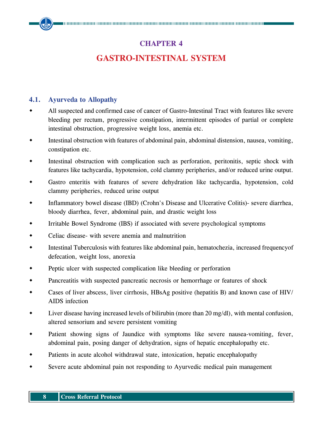### **CHAPTER 4**

## **Gastro-intestinal System**

#### **4.1. Ayurveda to Allopathy**

- All suspected and confirmed case of cancer of Gastro-Intestinal Tract with features like severe bleeding per rectum, progressive constipation, intermittent episodes of partial or complete intestinal obstruction, progressive weight loss, anemia etc.
- Intestinal obstruction with features of abdominal pain, abdominal distension, nausea, vomiting, constipation etc.
- Intestinal obstruction with complication such as perforation, peritonitis, septic shock with features like tachycardia, hypotension, cold clammy peripheries, and/or reduced urine output.
- Gastro enteritis with features of severe dehydration like tachycardia, hypotension, cold clammy peripheries, reduced urine output
- Inflammatory bowel disease (IBD) (Crohn's Disease and Ulcerative Colitis)- severe diarrhea, bloody diarrhea, fever, abdominal pain, and drastic weight loss
- Irritable Bowel Syndrome (IBS) if associated with severe psychological symptoms
- Celiac disease- with severe anemia and malnutrition
- Intestinal Tuberculosis with features like abdominal pain, hematochezia, increased frequencyof defecation, weight loss, anorexia
- Peptic ulcer with suspected complication like bleeding or perforation
- Pancreatitis with suspected pancreatic necrosis or hemorrhage or features of shock
- Cases of liver abscess, liver cirrhosis, HBsAg positive (hepatitis B) and known case of HIV/ AIDS infection
- Liver disease having increased levels of bilirubin (more than 20 mg/dl), with mental confusion, altered sensorium and severe persistent vomiting
- Patient showing signs of Jaundice with symptoms like severe nausea-vomiting, fever, abdominal pain, posing danger of dehydration, signs of hepatic encephalopathy etc.
- Patients in acute alcohol withdrawal state, intoxication, hepatic encephalopathy
- Severe acute abdominal pain not responding to Ayurvedic medical pain management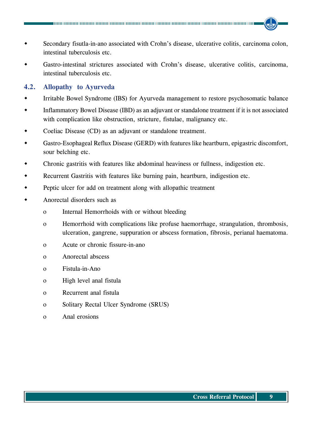- Secondary fisutla-in-ano associated with Crohn's disease, ulcerative colitis, carcinoma colon, intestinal tuberculosis etc.
- Gastro-intestinal strictures associated with Crohn's disease, ulcerative colitis, carcinoma, intestinal tuberculosis etc.

#### **4.2. Allopathy to Ayurveda**

- Irritable Bowel Syndrome (IBS) for Ayurveda management to restore psychosomatic balance
- Inflammatory Bowel Disease (IBD) as an adjuvant or standalone treatment if it is not associated with complication like obstruction, stricture, fistulae, malignancy etc.
- Coeliac Disease (CD) as an adjuvant or standalone treatment.
- Gastro-Esophageal Reflux Disease (GERD) with features like heartburn, epigastric discomfort, sour belching etc.
- Chronic gastritis with features like abdominal heaviness or fullness, indigestion etc.
- Recurrent Gastritis with features like burning pain, heartburn, indigestion etc.
- Peptic ulcer for add on treatment along with allopathic treatment
- Anorectal disorders such as
	- o Internal Hemorrhoids with or without bleeding
	- o Hemorrhoid with complications like profuse haemorrhage, strangulation, thrombosis, ulceration, gangrene, suppuration or abscess formation, fibrosis, perianal haematoma.
	- o Acute or chronic fissure-in-ano
	- o Anorectal abscess
	- o Fistula-in-Ano
	- o High level anal fistula
	- o Recurrent anal fistula
	- o Solitary Rectal Ulcer Syndrome (SRUS)
	- o Anal erosions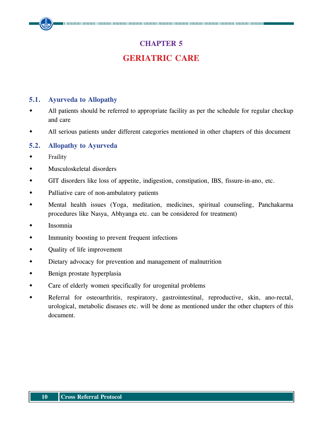## **CHAPTER 5**

## **Geriatric care**

#### **5.1. Ayurveda to Allopathy**

- All patients should be referred to appropriate facility as per the schedule for regular checkup and care
- All serious patients under different categories mentioned in other chapters of this document

#### **5.2. Allopathy to Ayurveda**

- Fraility
- Musculoskeletal disorders
- GIT disorders like loss of appetite, indigestion, constipation, IBS, fissure-in-ano, etc.
- Palliative care of non-ambulatory patients
- Mental health issues (Yoga, meditation, medicines, spiritual counseling, Panchakarma procedures like Nasya, Abhyanga etc. can be considered for treatment)
- Insomnia
- Immunity boosting to prevent frequent infections
- Quality of life improvement
- Dietary advocacy for prevention and management of malnutrition
- Benign prostate hyperplasia
- Care of elderly women specifically for urogenital problems
- Referral for osteoarthritis, respiratory, gastrointestinal, reproductive, skin, ano-rectal, urological, metabolic diseases etc. will be done as mentioned under the other chapters of this document.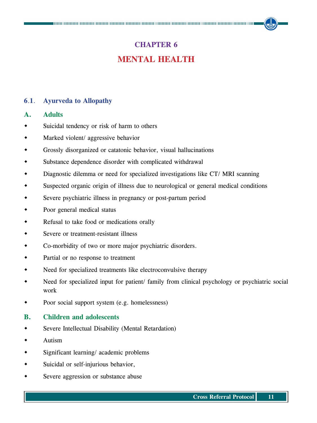## **CHAPTER 6 Mental Health**

#### **6**.**1**. **Ayurveda to Allopathy**

#### **A. Adults**

- Suicidal tendency or risk of harm to others
- Marked violent/ aggressive behavior
- Grossly disorganized or catatonic behavior, visual hallucinations
- Substance dependence disorder with complicated withdrawal
- Diagnostic dilemma or need for specialized investigations like CT/ MRI scanning
- Suspected organic origin of illness due to neurological or general medical conditions
- Severe psychiatric illness in pregnancy or post-partum period
- Poor general medical status
- Refusal to take food or medications orally
- Severe or treatment-resistant illness
- Co-morbidity of two or more major psychiatric disorders.
- Partial or no response to treatment
- Need for specialized treatments like electroconvulsive therapy
- Need for specialized input for patient/ family from clinical psychology or psychiatric social work
- Poor social support system (e.g. homelessness)

#### **B. Children and adolescents**

- Severe Intellectual Disability (Mental Retardation)
- Autism
- Significant learning/ academic problems
- Suicidal or self-injurious behavior,
- Severe aggression or substance abuse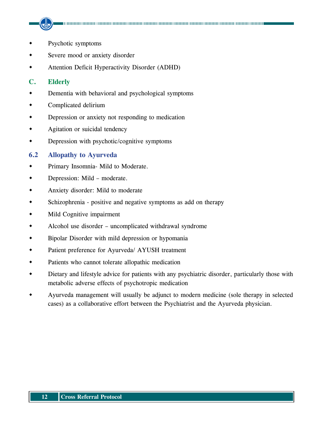- Psychotic symptoms
- Severe mood or anxiety disorder
- Attention Deficit Hyperactivity Disorder (ADHD)

#### **C. Elderly**

- Dementia with behavioral and psychological symptoms
- Complicated delirium
- Depression or anxiety not responding to medication
- Agitation or suicidal tendency
- Depression with psychotic/cognitive symptoms

#### **6.2 Allopathy to Ayurveda**

- Primary Insomnia- Mild to Moderate.
- Depression: Mild moderate.
- Anxiety disorder: Mild to moderate
- Schizophrenia positive and negative symptoms as add on therapy
- Mild Cognitive impairment
- Alcohol use disorder uncomplicated withdrawal syndrome
- Bipolar Disorder with mild depression or hypomania
- Patient preference for Ayurveda/ AYUSH treatment
- Patients who cannot tolerate allopathic medication
- Dietary and lifestyle advice for patients with any psychiatric disorder, particularly those with metabolic adverse effects of psychotropic medication
- Ayurveda management will usually be adjunct to modern medicine (sole therapy in selected cases) as a collaborative effort between the Psychiatrist and the Ayurveda physician.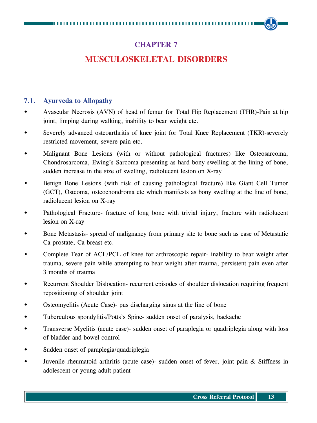### **CHAPTER 7**

## **Musculoskeletal Disorders**

#### **7.1. Ayurveda to Allopathy**

- Avascular Necrosis (AVN) of head of femur for Total Hip Replacement (THR)-Pain at hip joint, limping during walking, inability to bear weight etc.
- Severely advanced osteoarthritis of knee joint for Total Knee Replacement (TKR)-severely restricted movement, severe pain etc.
- Malignant Bone Lesions (with or without pathological fractures) like Osteosarcoma, Chondrosarcoma, Ewing's Sarcoma presenting as hard bony swelling at the lining of bone, sudden increase in the size of swelling, radiolucent lesion on X-ray
- Benign Bone Lesions (with risk of causing pathological fracture) like Giant Cell Tumor (GCT), Osteoma, osteochondroma etc which manifests as bony swelling at the line of bone, radiolucent lesion on X-ray
- Pathological Fracture- fracture of long bone with trivial injury, fracture with radiolucent lesion on X-ray
- Bone Metastasis- spread of malignancy from primary site to bone such as case of Metastatic Ca prostate, Ca breast etc.
- Complete Tear of ACL/PCL of knee for arthroscopic repair- inability to bear weight after trauma, severe pain while attempting to bear weight after trauma, persistent pain even after 3 months of trauma
- Recurrent Shoulder Dislocation- recurrent episodes of shoulder dislocation requiring frequent repositioning of shoulder joint
- Osteomyelitis (Acute Case)- pus discharging sinus at the line of bone
- Tuberculous spondylitis/Potts's Spine- sudden onset of paralysis, backache
- Transverse Myelitis (acute case)- sudden onset of paraplegia or quadriplegia along with loss of bladder and bowel control
- Sudden onset of paraplegia/quadriplegia
- Juvenile rheumatoid arthritis (acute case)- sudden onset of fever, joint pain & Stiffness in adolescent or young adult patient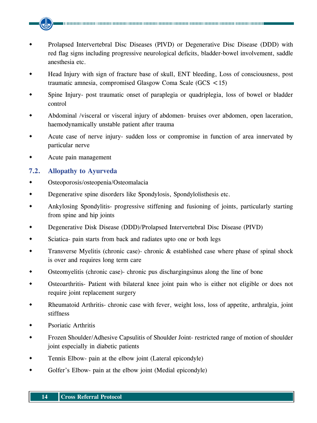- Prolapsed Intervertebral Disc Diseases (PIVD) or Degenerative Disc Disease (DDD) with red flag signs including progressive neurological deficits, bladder-bowel involvement, saddle anesthesia etc.
- Head Injury with sign of fracture base of skull, ENT bleeding, Loss of consciousness, post traumatic amnesia, compromised Glasgow Coma Scale (GCS <15)
- Spine Injury- post traumatic onset of paraplegia or quadriplegia, loss of bowel or bladder control
- Abdominal /visceral or visceral injury of abdomen- bruises over abdomen, open laceration, haemodynamically unstable patient after trauma
- Acute case of nerve injury- sudden loss or compromise in function of area innervated by particular nerve
- Acute pain management

#### **7.2. Allopathy to Ayurveda**

- Osteoporosis/osteopenia/Osteomalacia
- Degenerative spine disorders like Spondylosis, Spondylolisthesis etc.
- Ankylosing Spondylitis- progressive stiffening and fusioning of joints, particularly starting from spine and hip joints
- Degenerative Disk Disease (DDD)/Prolapsed Intervertebral Disc Disease (PIVD)
- Sciatica- pain starts from back and radiates upto one or both legs
- Transverse Myelitis (chronic case)- chronic & established case where phase of spinal shock is over and requires long term care
- Osteomyelitis (chronic case)- chronic pus dischargingsinus along the line of bone
- Osteoarthritis- Patient with bilateral knee joint pain who is either not eligible or does not require joint replacement surgery
- Rheumatoid Arthritis- chronic case with fever, weight loss, loss of appetite, arthralgia, joint stiffness
- Psoriatic Arthritis
- Frozen Shoulder/Adhesive Capsulitis of Shoulder Joint- restricted range of motion of shoulder joint especially in diabetic patients
- Tennis Elbow- pain at the elbow joint (Lateral epicondyle)
- Golfer's Elbow- pain at the elbow joint (Medial epicondyle)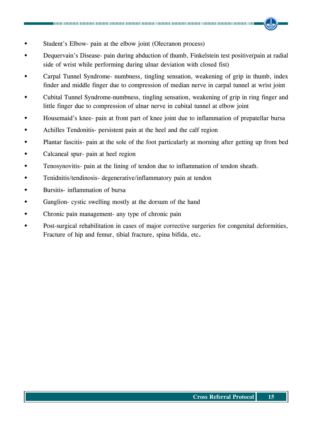- Student's Elbow- pain at the elbow joint (Olecranon process)
- Dequervain's Disease- pain during abduction of thumb, Finkelstein test positive(pain at radial side of wrist while performing during ulnar deviation with closed fist)
- Carpal Tunnel Syndrome- numbness, tingling sensation, weakening of grip in thumb, index finder and middle finger due to compression of median nerve in carpal tunnel at wrist joint
- Cubital Tunnel Syndrome-numbness, tingling sensation, weakening of grip in ring finger and little finger due to compression of ulnar nerve in cubital tunnel at elbow joint
- Housemaid's knee- pain at front part of knee joint due to inflammation of prepatellar bursa
- Achilles Tendonitis- persistent pain at the heel and the calf region
- Plantar fascitis- pain at the sole of the foot particularly at morning after getting up from bed
- Calcaneal spur- pain at heel region
- Tenosynovitis- pain at the lining of tendon due to inflammation of tendon sheath.
- Tenidnitis/tendinosis- degenerative/inflammatory pain at tendon
- Bursitis- inflammation of bursa
- Ganglion- cystic swelling mostly at the dorsum of the hand
- Chronic pain management- any type of chronic pain
- Post-surgical rehabilitation in cases of major corrective surgeries for congenital deformities, Fracture of hip and femur, tibial fracture, spina bifida, etc**.**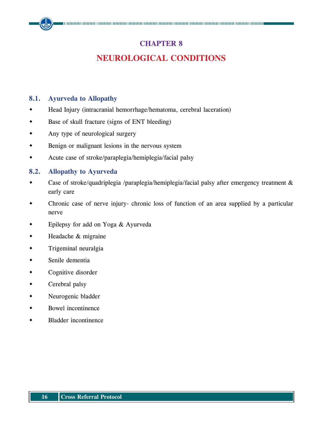### **CHAPTER 8**

## **Neurological Conditions**

#### **8.1. Ayurveda to Allopathy**

- Head Injury (intracranial hemorrhage/hematoma, cerebral laceration)
- Base of skull fracture (signs of ENT bleeding)
- Any type of neurological surgery
- Benign or malignant lesions in the nervous system
- Acute case of stroke/paraplegia/hemiplegia/facial palsy

#### **8.2. Allopathy to Ayurveda**

- Case of stroke/quadriplegia /paraplegia/hemiplegia/facial palsy after emergency treatment & early care
- Chronic case of nerve injury- chronic loss of function of an area supplied by a particular nerve
- Epilepsy for add on Yoga & Ayurveda
- Headache & migraine
- Trigeminal neuralgia
- Senile dementia
- Cognitive disorder
- Cerebral palsy
- Neurogenic bladder
- Bowel incontinence
- Bladder incontinence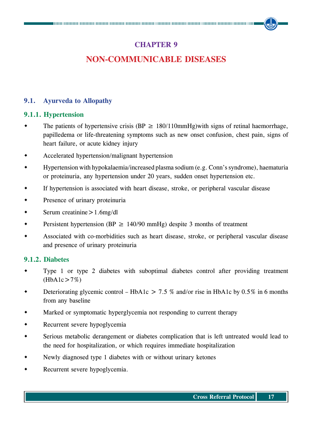### **CHAPTER 9**

## **Non-Communicable Diseases**

#### **9.1. Ayurveda to Allopathy**

#### **9.1.1. Hypertension**

- The patients of hypertensive crisis (BP  $\geq$  180/110mmHg) with signs of retinal haemorrhage, papilledema or life-threatening symptoms such as new onset confusion, chest pain, signs of heart failure, or acute kidney injury
- Accelerated hypertension/malignant hypertension
- Hypertension with hypokalaemia/increased plasma sodium (e.g. Conn's syndrome), haematuria or proteinuria, any hypertension under 20 years, sudden onset hypertension etc.
- If hypertension is associated with heart disease, stroke, or peripheral vascular disease
- Presence of urinary proteinuria
- Serum creatinine>1.6mg/dl
- Persistent hypertension (BP  $\geq$  140/90 mmHg) despite 3 months of treatment
- Associated with co-morbidities such as heart disease, stroke, or peripheral vascular disease and presence of urinary proteinuria

#### **9.1.2. Diabetes**

- Type 1 or type 2 diabetes with suboptimal diabetes control after providing treatment  $(HbA1c>7%)$
- Deteriorating glycemic control HbA1c > 7.5 % and/or rise in HbA1c by  $0.5\%$  in 6 months from any baseline
- Marked or symptomatic hyperglycemia not responding to current therapy
- Recurrent severe hypoglycemia
- Serious metabolic derangement or diabetes complication that is left untreated would lead to the need for hospitalization, or which requires immediate hospitalization
- Newly diagnosed type 1 diabetes with or without urinary ketones
- Recurrent severe hypoglycemia.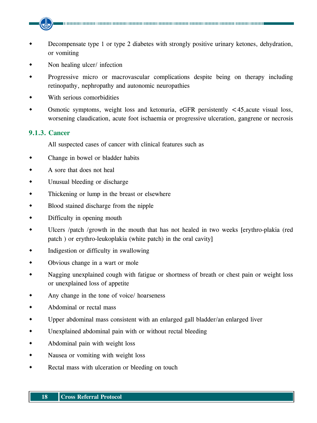- Decompensate type 1 or type 2 diabetes with strongly positive urinary ketones, dehydration, or vomiting
- Non healing ulcer/ infection
- Progressive micro or macrovascular complications despite being on therapy including retinopathy, nephropathy and autonomic neuropathies
- With serious comorbidities
- Osmotic symptoms, weight loss and ketonuria, eGFR persistently <45,acute visual loss, worsening claudication, acute foot ischaemia or progressive ulceration, gangrene or necrosis

#### **9.1.3. Cancer**

All suspected cases of cancer with clinical features such as

- Change in bowel or bladder habits
- A sore that does not heal
- Unusual bleeding or discharge
- Thickening or lump in the breast or elsewhere
- Blood stained discharge from the nipple
- Difficulty in opening mouth
- Ulcers /patch /growth in the mouth that has not healed in two weeks [erythro-plakia (red patch ) or erythro-leukoplakia (white patch) in the oral cavity]
- Indigestion or difficulty in swallowing
- Obvious change in a wart or mole
- Nagging unexplained cough with fatigue or shortness of breath or chest pain or weight loss or unexplained loss of appetite
- Any change in the tone of voice/ hoarseness
- Abdominal or rectal mass
- Upper abdominal mass consistent with an enlarged gall bladder/an enlarged liver
- Unexplained abdominal pain with or without rectal bleeding
- Abdominal pain with weight loss
- Nausea or vomiting with weight loss
- Rectal mass with ulceration or bleeding on touch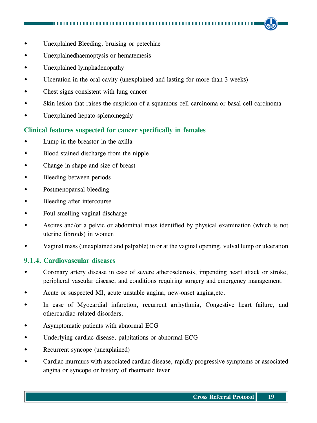- Unexplained Bleeding, bruising or petechiae
- Unexplainedhaemoptysis or hematemesis
- Unexplained lymphadenopathy
- Ulceration in the oral cavity (unexplained and lasting for more than 3 weeks)
- Chest signs consistent with lung cancer
- Skin lesion that raises the suspicion of a squamous cell carcinoma or basal cell carcinoma
- Unexplained hepato-splenomegaly

#### **Clinical features suspected for cancer specifically in females**

- Lump in the breastor in the axilla
- Blood stained discharge from the nipple
- Change in shape and size of breast
- Bleeding between periods
- Postmenopausal bleeding
- Bleeding after intercourse
- Foul smelling vaginal discharge
- Ascites and/or a pelvic or abdominal mass identified by physical examination (which is not uterine fibroids) in women
- Vaginal mass (unexplained and palpable) in or at the vaginal opening, vulval lump or ulceration

#### **9.1.4. Cardiovascular diseases**

- Coronary artery disease in case of severe atherosclerosis, impending heart attack or stroke, peripheral vascular disease, and conditions requiring surgery and emergency management.
- Acute or suspected MI, acute unstable angina, new-onset angina,etc.
- In case of Myocardial infarction, recurrent arrhythmia, Congestive heart failure, and othercardiac-related disorders.
- Asymptomatic patients with abnormal ECG
- Underlying cardiac disease, palpitations or abnormal ECG
- Recurrent syncope (unexplained)
- Cardiac murmurs with associated cardiac disease, rapidly progressive symptoms or associated angina or syncope or history of rheumatic fever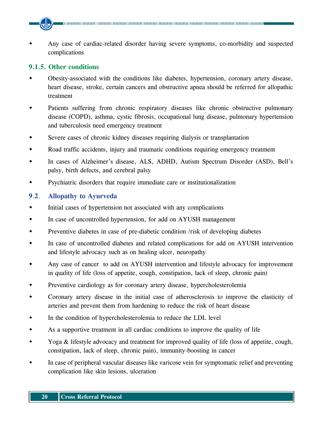Any case of cardiac-related disorder having severe symptoms, co-morbidity and suspected complications

#### **9.1.5. Other conditions**

- Obesity-associated with the conditions like diabetes, hypertension, coronary artery disease, heart disease, stroke, certain cancers and obstructive apnea should be referred for allopathic treatment
- Patients suffering from chronic respiratory diseases like chronic obstructive pulmonary disease (COPD), asthma, cystic fibrosis, occupational lung disease, pulmonary hypertension and tuberculosis need emergency treatment
- Severe cases of chronic kidney diseases requiring dialysis or transplantation
- Road traffic accidents, injury and traumatic conditions requiring emergency treatment
- In cases of Alzheimer's disease, ALS, ADHD, Autism Spectrum Disorder (ASD), Bell's palsy, birth defects, and cerebral palsy
- Psychiatric disorders that require immediate care or institutionalization

#### **9**.**2**. **Allopathy to Ayurveda**

- $\bullet$  Initial cases of hypertension not associated with any complications
- In case of uncontrolled hypertension, for add on AYUSH management
- Preventive diabetes in case of pre-diabetic condition /risk of developing diabetes
- In case of uncontrolled diabetes and related complications for add on AYUSH intervention and lifestyle advocacy such as on healing ulcer, neuropathy
- Any case of cancer to add on AYUSH intervention and lifestyle advocacy for improvement in quality of life (loss of appetite, cough, constipation, lack of sleep, chronic pain)
- Preventive cardiology as for coronary artery disease, hypercholesterolemia
- Coronary artery disease in the initial case of atherosclerosis to improve the elasticity of arteries and prevent them from hardening to reduce the risk of heart disease
- In the condition of hypercholesterolemia to reduce the LDL level
- As a supportive treatment in all cardiac conditions to improve the quality of life
- Yoga & lifestyle advocacy and treatment for improved quality of life (loss of appetite, cough, constipation, lack of sleep, chronic pain), immunity-boosting in cancer
- In case of peripheral vascular diseases like varicose vein for symptomatic relief and preventing complication like skin lesions, ulceration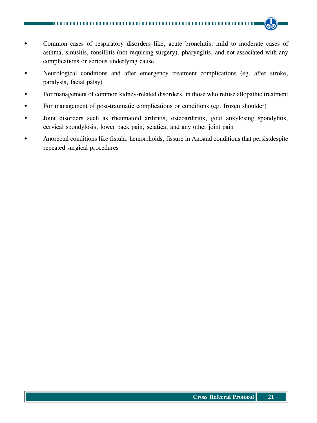- Common cases of respiratory disorders like, acute bronchitis, mild to moderate cases of asthma, sinusitis, tonsillitis (not requiring surgery), pharyngitis, and not associated with any complications or serious underlying cause
- Neurological conditions and after emergency treatment complications (eg. after stroke, paralysis, facial palsy)
- For management of common kidney-related disorders, in those who refuse allopathic treatment
- For management of post-traumatic complications or conditions (eg. frozen shoulder)
- Joint disorders such as rheumatoid arthritis, osteoarthritis, gout ankylosing spondylitis, cervical spondylosis, lower back pain, sciatica, and any other joint pain
- Anorectal conditions like fistula, hemorrhoids, fissure in Anoand conditions that persistdespite repeated surgical procedures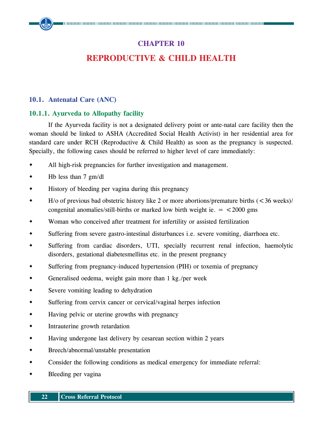## **CHAPTER 10 Reproductive & Child Health**

#### **10.1. Antenatal Care (ANC)**

#### **10.1.1. Ayurveda to Allopathy facility**

If the Ayurveda facility is not a designated delivery point or ante-natal care facility then the woman should be linked to ASHA (Accredited Social Health Activist) in her residential area for standard care under RCH (Reproductive & Child Health) as soon as the pregnancy is suspected. Specially, the following cases should be referred to higher level of care immediately:

- All high-risk pregnancies for further investigation and management.
- $\bullet$  Hb less than 7 gm/dl
- History of bleeding per vagina during this pregnancy
- H/o of previous bad obstetric history like 2 or more abortions/premature births (<36 weeks)/ congenital anomalies/still-births or marked low birth weight ie.  $=$  <2000 gms
- Woman who conceived after treatment for infertility or assisted fertilization
- Suffering from severe gastro-intestinal disturbances i.e. severe vomiting, diarrhoea etc.
- Suffering from cardiac disorders, UTI, specially recurrent renal infection, haemolytic disorders, gestational diabetesmellitus etc. in the present pregnancy
- Suffering from pregnancy-induced hypertension (PIH) or toxemia of pregnancy
- Generalised oedema, weight gain more than 1 kg./per week
- Severe vomiting leading to dehydration
- Suffering from cervix cancer or cervical/vaginal herpes infection
- Having pelvic or uterine growths with pregnancy
- Intrauterine growth retardation
- Having undergone last delivery by cesarean section within 2 years
- Breech/abnormal/unstable presentation
- Consider the following conditions as medical emergency for immediate referral:
- Bleeding per vagina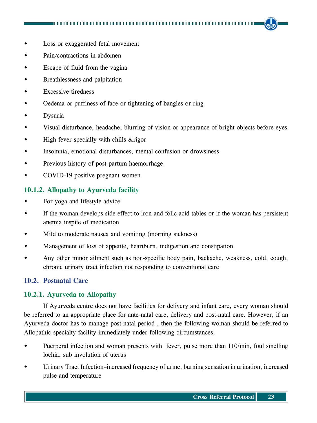- Loss or exaggerated fetal movement
- Pain*/*contractions in abdomen
- Escape of fluid from the vagina
- Breathlessness and palpitation
- Excessive tiredness
- Oedema or puffiness of face or tightening of bangles or ring
- Dysuria
- Visual disturbance, headache, blurring of vision or appearance of bright objects before eyes
- $\bullet$  High fever specially with chills & rigor
- Insomnia, emotional disturbances, mental confusion or drowsiness
- Previous history of post*-*partum haemorrhage
- COVID*-*19 positive pregnant women

#### **10.1.2. Allopathy to Ayurveda facility**

- For yoga and lifestyle advice
- If the woman develops side effect to iron and folic acid tables or if the woman has persistent anemia inspite of medication
- Mild to moderate nausea and vomiting (morning sickness)
- Management of loss of appetite, heartburn, indigestion and constipation
- Any other minor ailment such as non-specific body pain, backache, weakness, cold, cough, chronic urinary tract infection not responding to conventional care

#### **10.2. Postnatal Care**

#### **10.2.1. Ayurveda to Allopathy**

If Ayurveda centre does not have facilities for delivery and infant care, every woman should be referred to an appropriate place for ante-natal care, delivery and post-natal care. However, if an Ayurveda doctor has to manage post-natal period , then the following woman should be referred to Allopathic specialty facility immediately under following circumstances.

- Puerperal infection and woman presents with fever, pulse more than 110/min, foul smelling lochia, sub involution of uterus
- Urinary Tract Infection–increased frequency of urine, burning sensation in urination, increased pulse and temperature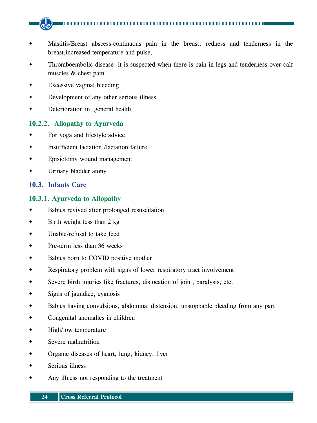- Mastitis/Breast abscess-continuous pain in the breast, redness and tenderness in the breast,increased temperature and pulse,
- Thromboembolic disease- it is suspected when there is pain in legs and tenderness over calf muscles & chest pain
- Excessive vaginal bleeding
- Development of any other serious illness
- Deterioration in general health

#### **10.2.2. Allopathy to Ayurveda**

- For yoga and lifestyle advice
- Insufficient lactation /lactation failure
- Episiotomy wound management
- Urinary bladder atony

#### **10.3. Infants Care**

#### **10.3.1. Ayurveda to Allopathy**

- Babies revived after prolonged resuscitation
- Birth weight less than 2 kg
- Unable/refusal to take feed
- Pre-term less than 36 weeks
- Babies born to COVID positive mother
- Respiratory problem with signs of lower respiratory tract involvement
- Severe birth injuries like fractures, dislocation of joint, paralysis, etc.
- Signs of jaundice, cyanosis
- Babies having convulsions, abdominal distension, unstoppable bleeding from any part
- Congenital anomalies in children
- High/low temperature
- Severe malnutrition
- Organic diseases of heart, lung, kidney, liver
- Serious illness
- Any illness not responding to the treatment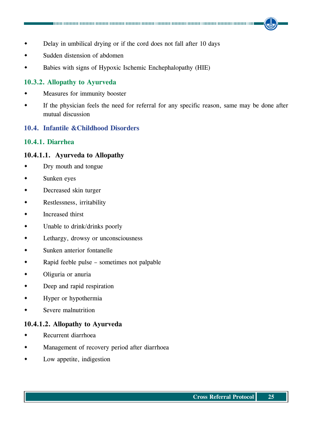- Delay in umbilical drying or if the cord does not fall after 10 days
- Sudden distension of abdomen
- Babies with signs of Hypoxic Ischemic Enchephalopathy (HIE)

#### **10.3.2. Allopathy to Ayurveda**

- Measures for immunity booster
- If the physician feels the need for referral for any specific reason, same may be done after mutual discussion

#### **10.4. Infantile &Childhood Disorders**

#### **10.4.1. Diarrhea**

#### **10.4.1.1. Ayurveda to Allopathy**

- Dry mouth and tongue
- Sunken eyes
- Decreased skin turger
- Restlessness, irritability
- Increased thirst
- Unable to drink/drinks poorly
- Lethargy, drowsy or unconsciousness
- Sunken anterior fontanelle
- Rapid feeble pulse sometimes not palpable
- Oliguria or anuria
- Deep and rapid respiration
- Hyper or hypothermia
- Severe malnutrition

#### **10.4.1.2. Allopathy to Ayurveda**

- Recurrent diarrhoea
- Management of recovery period after diarrhoea
- Low appetite, indigestion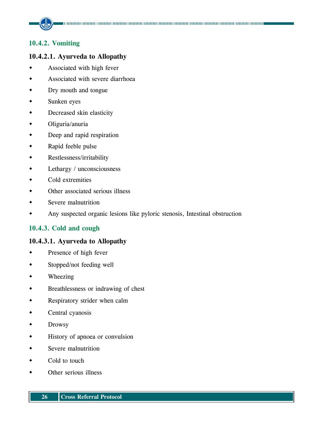#### **10.4.2. Vomiting**

#### **10.4.2.1. Ayurveda to Allopathy**

- Associated with high fever
- Associated with severe diarrhoea
- Dry mouth and tongue
- Sunken eyes
- Decreased skin elasticity
- Oliguria/anuria
- Deep and rapid respiration
- Rapid feeble pulse
- Restlessness/irritability
- Lethargy / unconsciousness
- Cold extremities
- Other associated serious illness
- Severe malnutrition
- Any suspected organic lesions like pyloric stenosis, Intestinal obstruction

#### **10.4.3. Cold and cough**

#### **10.4.3.1. Ayurveda to Allopathy**

- Presence of high fever
- Stopped/not feeding well
- Wheezing
- Breathlessness or indrawing of chest
- Respiratory strider when calm
- Central cyanosis
- Drowsy
- History of apnoea or convulsion
- Severe malnutrition
- Cold to touch
- Other serious illness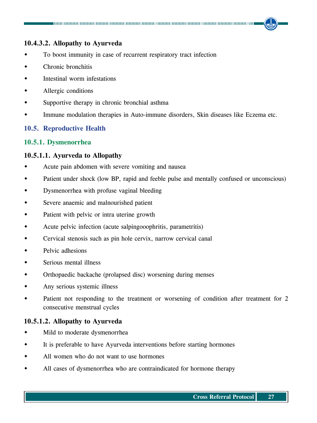#### **10.4.3.2. Allopathy to Ayurveda**

- To boost immunity in case of recurrent respiratory tract infection
- Chronic bronchitis
- Intestinal worm infestations
- Allergic conditions
- Supportive therapy in chronic bronchial asthma
- Immune modulation therapies in Auto-immune disorders, Skin diseases like Eczema etc.

#### **10.5. Reproductive Health**

#### **10.5.1. Dysmenorrhea**

#### **10.5.1.1. Ayurveda to Allopathy**

- Acute pain abdomen with severe vomiting and nausea
- Patient under shock (low BP, rapid and feeble pulse and mentally confused or unconscious)
- Dysmenorrhea with profuse vaginal bleeding
- Severe anaemic and malnourished patient
- Patient with pelvic or intra uterine growth
- Acute pelvic infection (acute salpingooophritis, parametritis)
- Cervical stenosis such as pin hole cervix, narrow cervical canal
- Pelvic adhesions
- Serious mental illness
- Orthopaedic backache (prolapsed disc) worsening during menses
- Any serious systemic illness
- Patient not responding to the treatment or worsening of condition after treatment for 2 consecutive menstrual cycles

#### **10.5.1.2. Allopathy to Ayurveda**

- Mild to moderate dysmenorrhea
- It is preferable to have Ayurveda interventions before starting hormones
- All women who do not want to use hormones
- All cases of dysmenorrhea who are contraindicated for hormone therapy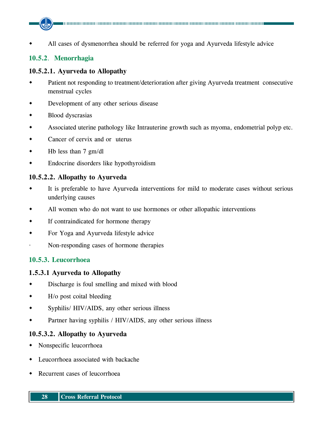All cases of dysmenorrhea should be referred for yoga and Ayurveda lifestyle advice

#### **10.5.2**. **Menorrhagia**

#### **10.5.2.1. Ayurveda to Allopathy**

- Patient not responding to treatment/deterioration after giving Ayurveda treatment consecutive menstrual cycles
- Development of any other serious disease
- Blood dyscrasias
- Associated uterine pathology like Intrauterine growth such as myoma, endometrial polyp etc.
- Cancer of cervix and or uterus
- Hb less than 7 gm/dl
- Endocrine disorders like hypothyroidism

#### **10.5.2.2. Allopathy to Ayurveda**

- It is preferable to have Ayurveda interventions for mild to moderate cases without serious underlying causes
- All women who do not want to use hormones or other allopathic interventions
- If contraindicated for hormone therapy
- For Yoga and Ayurveda lifestyle advice
- · Non-responding cases of hormone therapies

#### **10.5.3. Leucorrhoea**

#### **1.5.3.1 Ayurveda to Allopathy**

- Discharge is foul smelling and mixed with blood
- H/o post coital bleeding
- Syphilis/ HIV/AIDS, any other serious illness
- Partner having syphilis / HIV/AIDS, any other serious illness

#### **10.5.3.2. Allopathy to Ayurveda**

- Nonspecific leucorrhoea
- Leucorrhoea associated with backache
- Recurrent cases of leucorrhoea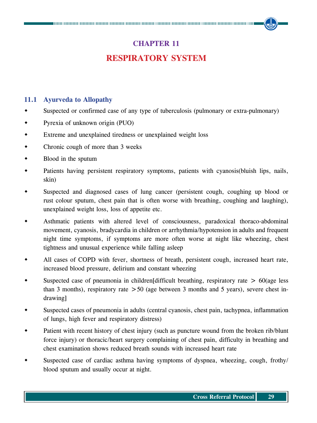## **CHAPTER 11**

### **Respiratory System**

#### **11.1 Ayurveda to Allopathy**

- Suspected or confirmed case of any type of tuberculosis (pulmonary or extra-pulmonary)
- Pyrexia of unknown origin (PUO)
- Extreme and unexplained tiredness or unexplained weight loss
- Chronic cough of more than 3 weeks
- Blood in the sputum
- Patients having persistent respiratory symptoms, patients with cyanosis(bluish lips, nails, skin)
- Suspected and diagnosed cases of lung cancer (persistent cough, coughing up blood or rust colour sputum, chest pain that is often worse with breathing, coughing and laughing), unexplained weight loss, loss of appetite etc.
- Asthmatic patients with altered level of consciousness, paradoxical thoraco-abdominal movement, cyanosis, bradycardia in children or arrhythmia/hypotension in adults and frequent night time symptoms, if symptoms are more often worse at night like wheezing, chest tightness and unusual experience while falling asleep
- All cases of COPD with fever, shortness of breath, persistent cough, increased heart rate, increased blood pressure, delirium and constant wheezing
- Suspected case of pneumonia in children[difficult breathing, respiratory rate  $> 60$ (age less than 3 months), respiratory rate  $> 50$  (age between 3 months and 5 years), severe chest indrawing]
- Suspected cases of pneumonia in adults (central cyanosis, chest pain, tachypnea, inflammation of lungs, high fever and respiratory distress)
- Patient with recent history of chest injury (such as puncture wound from the broken rib/blunt force injury) or thoracic/heart surgery complaining of chest pain, difficulty in breathing and chest examination shows reduced breath sounds with increased heart rate
- Suspected case of cardiac asthma having symptoms of dyspnea, wheezing, cough, frothy/ blood sputum and usually occur at night.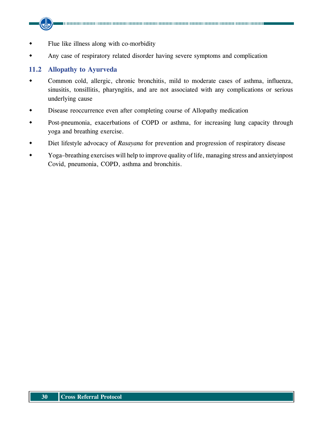- Flue like illness along with co-morbidity
- Any case of respiratory related disorder having severe symptoms and complication

#### **11.2 Allopathy to Ayurveda**

- Common cold, allergic, chronic bronchitis, mild to moderate cases of asthma, influenza, sinusitis, tonsillitis, pharyngitis, and are not associated with any complications or serious underlying cause
- Disease reoccurrence even after completing course of Allopathy medication
- Post-pneumonia, exacerbations of COPD or asthma, for increasing lung capacity through yoga and breathing exercise.
- Diet lifestyle advocacy of *Rasayana* for prevention and progression of respiratory disease
- Yoga–breathing exercises will help to improve quality of life, managing stress and anxietyinpost Covid, pneumonia, COPD, asthma and bronchitis.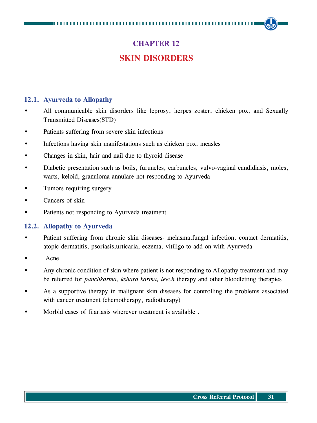## **CHAPTER 12 Skin Disorders**

#### **12.1. Ayurveda to Allopathy**

- All communicable skin disorders like leprosy, herpes zoster, chicken pox, and Sexually Transmitted Diseases(STD)
- Patients suffering from severe skin infections
- Infections having skin manifestations such as chicken pox, measles
- Changes in skin, hair and nail due to thyroid disease
- Diabetic presentation such as boils, furuncles, carbuncles, vulvo-vaginal candidiasis, moles, warts, keloid, granuloma annulare not responding to Ayurveda
- Tumors requiring surgery
- Cancers of skin
- Patients not responding to Ayurveda treatment

#### **12.2. Allopathy to Ayurveda**

- Patient suffering from chronic skin diseases- melasma,fungal infection, contact dermatitis, atopic dermatitis, psoriasis,urticaria, eczema, vitiligo to add on with Ayurveda
- Acne
- Any chronic condition of skin where patient is not responding to Allopathy treatment and may be referred for *panchkarma, kshara karma, leech* therapy and other bloodletting therapies
- As a supportive therapy in malignant skin diseases for controlling the problems associated with cancer treatment (chemotherapy, radiotherapy)
- Morbid cases of filariasis wherever treatment is available .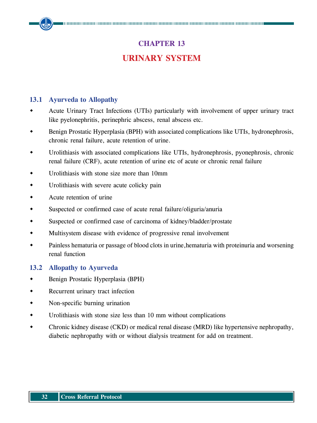## **CHAPTER 13 Urinary System**

#### **13.1 Ayurveda to Allopathy**

- Acute Urinary Tract Infections (UTIs) particularly with involvement of upper urinary tract like pyelonephritis, perinephric abscess, renal abscess etc.
- Benign Prostatic Hyperplasia (BPH) with associated complications like UTIs, hydronephrosis, chronic renal failure, acute retention of urine.
- Urolithiasis with associated complications like UTIs, hydronephrosis, pyonephrosis, chronic renal failure (CRF), acute retention of urine etc of acute or chronic renal failure
- Urolithiasis with stone size more than 10mm
- Urolithiasis with severe acute colicky pain
- Acute retention of urine
- Suspected or confirmed case of acute renal failure/oliguria/anuria
- Suspected or confirmed case of carcinoma of kidney/bladder/prostate
- Multisystem disease with evidence of progressive renal involvement
- Painless hematuria or passage of blood clots in urine,hematuria with proteinuria and worsening renal function

#### **13.2 Allopathy to Ayurveda**

- Benign Prostatic Hyperplasia (BPH)
- Recurrent urinary tract infection
- Non-specific burning urination
- Urolithiasis with stone size less than 10 mm without complications
- Chronic kidney disease (CKD) or medical renal disease (MRD) like hypertensive nephropathy, diabetic nephropathy with or without dialysis treatment for add on treatment.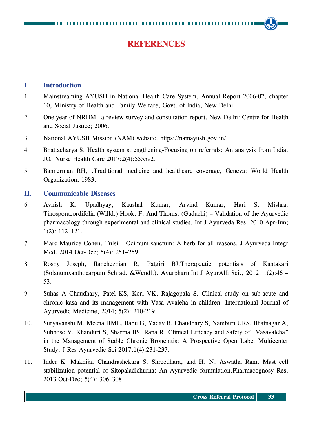### **References**

#### **I**. **Introduction**

- 1. Mainstreaming AYUSH in National Health Care System, Annual Report 2006-07, chapter 10, Ministry of Health and Family Welfare, Govt. of India, New Delhi.
- 2. One year of NRHM– a review survey and consultation report. New Delhi: Centre for Health and Social Justice; 2006.
- 3. National AYUSH Mission (NAM) website. https://namayush.gov.in/
- 4. Bhattacharya S. Health system strengthening-Focusing on referrals: An analysis from India. JOJ Nurse Health Care 2017;2(4):555592.
- 5. Bannerman RH, .Traditional medicine and healthcare coverage, Geneva: World Health Organization, 1983.

#### **II**. **Communicable Diseases**

- 6. Avnish K. Upadhyay, Kaushal Kumar, Arvind Kumar, Hari S. Mishra. Tinosporacordifolia (Willd.) Hook. F. And Thoms. (Guduchi) – Validation of the Ayurvedic pharmacology through experimental and clinical studies. Int J Ayurveda Res. 2010 Apr-Jun; 1(2): 112–121.
- 7. Marc Maurice Cohen. Tulsi Ocimum sanctum: A herb for all reasons. J Ayurveda Integr Med. 2014 Oct-Dec; 5(4): 251–259.
- 8. Roshy Joseph, Ilanchezhian R, Patgiri BJ.Therapeutic potentials of Kantakari (Solanumxanthocarpum Schrad. &Wendl.). AyurpharmInt J AyurAlli Sci., 2012; 1(2):46 – 53.
- 9. Suhas A Chaudhary, Patel KS, Kori VK, Rajagopala S. Clinical study on sub-acute and chronic kasa and its management with Vasa Avaleha in children. International Journal of Ayurvedic Medicine, 2014; 5(2): 210-219.
- 10. Suryavanshi M, Meena HML, Babu G, Yadav B, Chaudhary S, Namburi URS, Bhatnagar A, Subhose V, Khanduri S, Sharma BS, Rana R. Clinical Efficacy and Safety of "Vasavaleha" in the Management of Stable Chronic Bronchitis: A Prospective Open Label Multicenter Study. J Res Ayurvedic Sci 2017;1(4):231-237.
- 11. Inder K. Makhija, Chandrashekara S. Shreedhara, and H. N. Aswatha Ram. Mast cell stabilization potential of Sitopaladichurna: An Ayurvedic formulation.Pharmacognosy Res. 2013 Oct-Dec; 5(4): 306–308.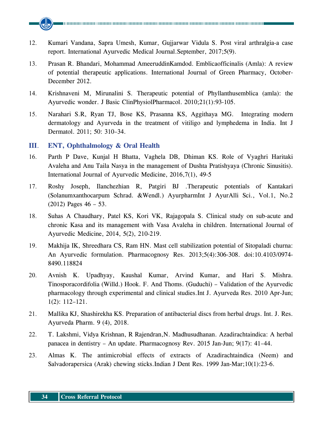

- 12. Kumari Vandana, Sapra Umesh, Kumar, Gujjarwar Vidula S. Post viral arthralgia-a case report. International Ayurvedic Medical Journal.September, 2017;5(9).
- 13. Prasan R. Bhandari, Mohammad AmeeruddinKamdod. Emblicaofficinalis (Amla): A review of potential therapeutic applications. International Journal of Green Pharmacy, October-December 2012.
- 14. Krishnaveni M, Mirunalini S. Therapeutic potential of Phyllanthusemblica (amla): the Ayurvedic wonder. J Basic ClinPhysiolPharmacol. 2010;21(1):93-105.
- 15. Narahari S.R, Ryan TJ, Bose KS, Prasanna KS, Aggithaya MG. Integrating modern dermatology and Ayurveda in the treatment of vitiligo and lymphedema in India. Int J Dermatol. 2011; 50: 310–34.

#### **III**. **ENT, Ophthalmology & Oral Health**

- 16. Parth P Dave, Kunjal H Bhatta, Vaghela DB, Dhiman KS. Role of Vyaghri Haritaki Avaleha and Anu Taila Nasya in the management of Dushta Pratishyaya (Chronic Sinusitis). International Journal of Ayurvedic Medicine, 2016,7(1), 49-5
- 17. Roshy Joseph, Ilanchezhian R, Patgiri BJ .Therapeutic potentials of Kantakari (Solanumxanthocarpum Schrad. &Wendl.) AyurpharmInt J AyurAlli Sci., Vol.1, No.2 (2012) Pages 46 – 53.
- 18. Suhas A Chaudhary, Patel KS, Kori VK, Rajagopala S. Clinical study on sub-acute and chronic Kasa and its management with Vasa Avaleha in children. International Journal of Ayurvedic Medicine, 2014, 5(2), 210-219.
- 19. Makhija IK, Shreedhara CS, Ram HN. Mast cell stabilization potential of Sitopaladi churna: An Ayurvedic formulation. Pharmacognosy Res. 2013;5(4):306-308. doi:10.4103/0974- 8490.118824
- 20. Avnish K. Upadhyay, Kaushal Kumar, Arvind Kumar, and Hari S. Mishra. Tinosporacordifolia (Willd.) Hook. F. And Thoms. (Guduchi) – Validation of the Ayurvedic pharmacology through experimental and clinical studies.Int J. Ayurveda Res. 2010 Apr-Jun; 1(2): 112–121.
- 21. Mallika KJ, Shashirekha KS. Preparation of antibacterial discs from herbal drugs. Int. J. Res. Ayurveda Pharm. 9 (4), 2018.
- 22. T. Lakshmi, Vidya Krishnan, R Rajendran,N. Madhusudhanan. Azadirachtaindica: A herbal panacea in dentistry – An update. Pharmacognosy Rev. 2015 Jan-Jun; 9(17): 41–44.
- 23. Almas K. The antimicrobial effects of extracts of Azadirachtaindica (Neem) and Salvadorapersica (Arak) chewing sticks.Indian J Dent Res. 1999 Jan-Mar;10(1):23-6.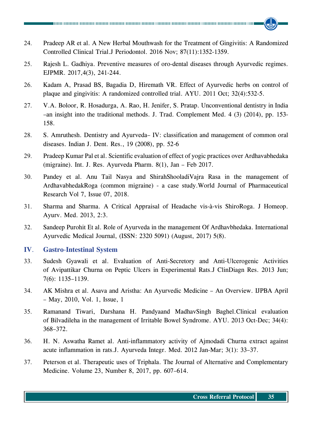- 24. Pradeep AR et al. A New Herbal Mouthwash for the Treatment of Gingivitis: A Randomized Controlled Clinical Trial.J Periodontol. 2016 Nov; 87(11):1352-1359.
- 25. Rajesh L. Gadhiya. Preventive measures of oro-dental diseases through Ayurvedic regimes. EJPMR. 2017,4(3), 241-244.
- 26. Kadam A, Prasad BS, Bagadia D, Hiremath VR. Effect of Ayurvedic herbs on control of plaque and gingivitis: A randomized controlled trial. AYU. 2011 Oct; 32(4):532-5.
- 27. V.A. Boloor, R. Hosadurga, A. Rao, H. Jenifer, S. Pratap. Unconventional dentistry in India –an insight into the traditional methods. J. Trad. Complement Med. 4 (3) (2014), pp. 153- 158.
- 28. S. Amruthesh. Dentistry and Ayurveda– IV: classification and management of common oral diseases. Indian J. Dent. Res., 19 (2008), pp. 52-6
- 29. Pradeep Kumar Pal et al. Scientific evaluation of effect of yogic practices over Ardhavabhedaka (migraine). Int. J. Res. Ayurveda Pharm. 8(1), Jan – Feb 2017.
- 30. Pandey et al. Anu Tail Nasya and ShirahShooladiVajra Rasa in the management of ArdhavabhedakRoga (common migraine) - a case study.World Journal of Pharmaceutical Research Vol 7, Issue 07, 2018.
- 31. Sharma and Sharma. A Critical Appraisal of Headache vis-à-vis ShiroRoga. J Homeop. Ayurv. Med. 2013, 2:3.
- 32. Sandeep Purohit Et al. Role of Ayurveda in the management Of Ardhavbhedaka. International Ayurvedic Medical Journal, (ISSN: 2320 5091) (August, 2017) 5(8).

#### **IV**. **Gastro**-**Intestinal System**

- 33. Sudesh Gyawali et al. Evaluation of Anti-Secretory and Anti-Ulcerogenic Activities of Avipattikar Churna on Peptic Ulcers in Experimental Rats.J ClinDiagn Res. 2013 Jun; 7(6): 1135–1139.
- 34. AK Mishra et al. Asava and Aristha: An Ayurvedic Medicine An Overview. IJPBA April – May, 2010, Vol. 1, Issue, 1
- 35. Ramanand Tiwari, Darshana H. Pandyaand MadhavSingh Baghel.Clinical evaluation of Bilvadileha in the management of Irritable Bowel Syndrome. AYU. 2013 Oct-Dec; 34(4): 368–372.
- 36. H. N. Aswatha Ramet al. Anti-inflammatory activity of Ajmodadi Churna extract against acute inflammation in rats.J. Ayurveda Integr. Med. 2012 Jan-Mar; 3(1): 33–37.
- 37. Peterson et al. Therapeutic uses of Triphala. The Journal of Alternative and Complementary Medicine. Volume 23, Number 8, 2017, pp. 607–614.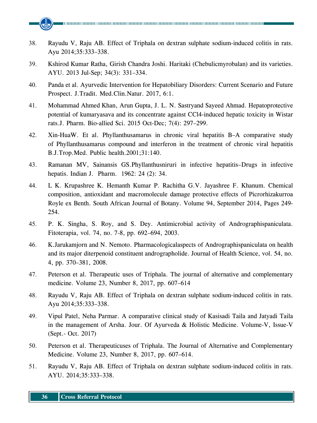- 38. Rayudu V, Raju AB. Effect of Triphala on dextran sulphate sodium-induced colitis in rats. Ayu 2014;35:333–338.
- 39. Kshirod Kumar Ratha, Girish Chandra Joshi. Haritaki (Chebulicmyrobalan) and its varieties. AYU. 2013 Jul-Sep; 34(3): 331–334.
- 40. Panda et al. Ayurvedic Intervention for Hepatobiliary Disorders: Current Scenario and Future Prospect. J.Tradit. Med.Clin.Natur. 2017, 6:1.
- 41. Mohammad Ahmed Khan, Arun Gupta, J. L. N. Sastryand Sayeed Ahmad. Hepatoprotective potential of kumaryasava and its concentrate against CCl4-induced hepatic toxicity in Wistar rats.J. Pharm. Bio-allied Sci. 2015 Oct-Dec; 7(4): 297–299.
- 42. Xin-HuaW. Et al. Phyllanthusamarus in chronic viral hepatitis B–A comparative study of Phyllanthusamarus compound and interferon in the treatment of chronic viral hepatitis B.J.Trop.Med. Public health.2001;31:140.
- 43. Ramanan MV, Sainansis GS.Phyllanthusniruri in infective hepatitis–Drugs in infective hepatis. Indian J. Pharm. 1962: 24 (2): 34.
- 44. L K. Krupashree K. Hemanth Kumar P. Rachitha G.V. Jayashree F. Khanum. Chemical composition, antioxidant and macromolecule damage protective effects of Picrorhizakurroa Royle ex Benth. South African Journal of Botany. Volume 94, September 2014, Pages 249- 254.
- 45. P. K. Singha, S. Roy, and S. Dey. Antimicrobial activity of Andrographispaniculata. Fitoterapia, vol. 74, no. 7-8, pp. 692–694, 2003.
- 46. K.Jarukamjorn and N. Nemoto. Pharmacologicalaspects of Andrographispaniculata on health and its major diterpenoid constituent andrographolide. Journal of Health Science, vol. 54, no. 4, pp. 370–381, 2008.
- 47. Peterson et al. Therapeutic uses of Triphala. The journal of alternative and complementary medicine. Volume 23, Number 8, 2017, pp. 607–614
- 48. Rayudu V, Raju AB. Effect of Triphala on dextran sulphate sodium-induced colitis in rats. Ayu 2014;35:333–338.
- 49. Vipul Patel, Neha Parmar. A comparative clinical study of Kasisadi Taila and Jatyadi Taila in the management of Arsha. Jour. Of Ayurveda & Holistic Medicine. Volume-V, Issue-V (Sept.- Oct. 2017)
- 50. Peterson et al. Therapeuticuses of Triphala. The Journal of Alternative and Complementary Medicine. Volume 23, Number 8, 2017, pp. 607–614.
- 51. Rayudu V, Raju AB. Effect of Triphala on dextran sulphate sodium-induced colitis in rats. AYU. 2014;35:333–338.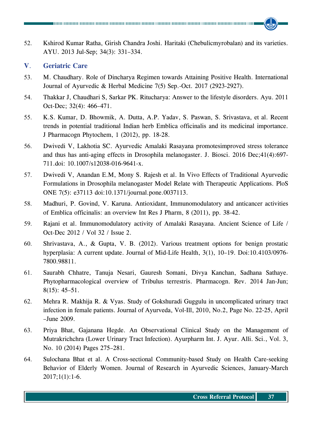52. Kshirod Kumar Ratha, Girish Chandra Joshi. Haritaki (Chebulicmyrobalan) and its varieties. AYU. 2013 Jul-Sep; 34(3): 331–334.

#### **V**. **Geriatric Care**

- 53. M. Chaudhary. Role of Dincharya Regimen towards Attaining Positive Health. International Journal of Ayurvedic & Herbal Medicine 7(5) Sep.-Oct. 2017 (2923-2927).
- 54. Thakkar J, Chaudhari S, Sarkar PK. Ritucharya: Answer to the lifestyle disorders. Ayu. 2011 Oct-Dec; 32(4): 466–471.
- 55. K.S. Kumar, D. Bhowmik, A. Dutta, A.P. Yadav, S. Paswan, S. Srivastava, et al. Recent trends in potential traditional Indian herb Emblica officinalis and its medicinal importance. J Pharmacogn Phytochem, 1 (2012), pp. 18-28.
- 56. Dwivedi V, Lakhotia SC. Ayurvedic Amalaki Rasayana promotesimproved stress tolerance and thus has anti-aging effects in Drosophila melanogaster. J. Biosci. 2016 Dec;41(4):697- 711.doi: 10.1007/s12038-016-9641-x.
- 57. Dwivedi V, Anandan E.M, Mony S. Rajesh et al. In Vivo Effects of Traditional Ayurvedic Formulations in Drosophila melanogaster Model Relate with Therapeutic Applications. PloS ONE 7(5): e37113 doi:10.1371/journal.pone.0037113.
- 58. Madhuri, P. Govind, V. Karuna. Antioxidant, Immunomodulatory and anticancer activities of Emblica officinalis: an overview Int Res J Pharm, 8 (2011), pp. 38-42.
- 59. Rajani et al. Immunomodulatory activity of Amalaki Rasayana. Ancient Science of Life / Oct-Dec 2012 / Vol 32 / Issue 2.
- 60. Shrivastava, A., & Gupta, V. B. (2012). Various treatment options for benign prostatic hyperplasia: A current update. Journal of Mid-Life Health, 3(1), 10-19. Doi:10.4103/0976-7800.98811.
- 61. Saurabh Chhatre, Tanuja Nesari, Gauresh Somani, Divya Kanchan, Sadhana Sathaye. Phytopharmacological overview of Tribulus terrestris. Pharmacogn. Rev. 2014 Jan-Jun; 8(15): 45–51.
- 62. Mehra R. Makhija R. & Vyas. Study of Gokshuradi Guggulu in uncomplicated urinary tract infection in female patients. Journal of Ayurveda, Vol-Ill, 2010, No.2, Page No. 22-25, April –June 2009.
- 63. Priya Bhat, Gajanana Hegde. An Observational Clinical Study on the Management of Mutrakrichchra (Lower Urinary Tract Infection). Ayurpharm Int. J. Ayur. Alli. Sci., Vol. 3, No. 10 (2014) Pages 275–281.
- 64. Sulochana Bhat et al. A Cross-sectional Community-based Study on Health Care-seeking Behavior of Elderly Women. Journal of Research in Ayurvedic Sciences, January-March  $2017;1(1):1-6.$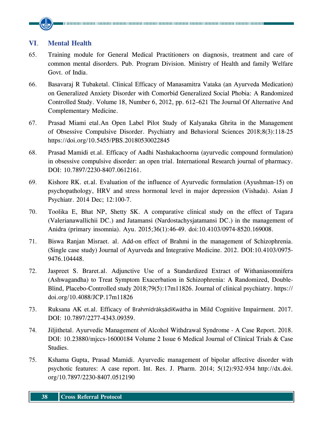#### **VI**. **Mental Health**

- 65. Training module for General Medical Practitioners on diagnosis, treatment and care of common mental disorders. Pub. Program Division. Ministry of Health and family Welfare Govt. of India.
- 66. Basavaraj R Tubaketal. Clinical Efficacy of Manasamitra Vataka (an Ayurveda Medication) on Generalized Anxiety Disorder with Comorbid Generalized Social Phobia: A Randomized Controlled Study. Volume 18, Number 6, 2012, pp. 612–621 The Journal Of Alternative And Complementary Medicine.
- 67. Prasad Miami etal.An Open Label Pilot Study of Kalyanaka Ghrita in the Management of Obsessive Compulsive Disorder. Psychiatry and Behavioral Sciences 2018;8(3):118-25 https://doi.org/10.5455/PBS.20180530022845
- 68. Prasad Mamidi et.al. Efficacy of Aadhi Nashakachoorna (ayurvedic compound formulation) in obsessive compulsive disorder: an open trial. International Research journal of pharmacy. DOI: 10.7897/2230-8407.0612161.
- 69. Kishore RK. et.al. Evaluation of the influence of Ayurvedic formulation (Ayushman-15) on psychopathology, HRV and stress hormonal level in major depression (Vishada). Asian J Psychiatr. 2014 Dec; 12:100-7.
- 70. Toolika E, Bhat NP, Shetty SK. A comparative clinical study on the effect of Tagara (Valerianawallichii DC.) and Jatamansi (Nardostachysjatamansi DC.) in the management of Anidra (primary insomnia). Ayu. 2015;36(1):46-49. doi:10.4103/0974-8520.169008.
- 71. Biswa Ranjan Misraet. al. Add-on effect of Brahmi in the management of Schizophrenia. (Single case study) Journal of Ayurveda and Integrative Medicine. 2012. DOI:10.4103/0975- 9476.104448.
- 72. Jaspreet S. Braret.al. Adjunctive Use of a Standardized Extract of Withaniasomnifera (Ashwagandha) to Treat Symptom Exacerbation in Schizophrenia: A Randomized, Double-Blind, Placebo-Controlled study 2018;79(5):17m11826. Journal of clinical psychiatry. https:// doi.org/10.4088/JCP.17m11826
- 73. Ruksana AK et.al. Efficacy of BrahmīdrākṣādiKwātha in Mild Cognitive Impairment. 2017. DOI: 10.7897/2277-4343.09359.
- 74. Jiljithetal. Ayurvedic Management of Alcohol Withdrawal Syndrome A Case Report. 2018. DOI: 10.23880/mjccs-16000184 Volume 2 Issue 6 Medical Journal of Clinical Trials & Case Studies.
- 75. Kshama Gupta, Prasad Mamidi. Ayurvedic management of bipolar affective disorder with psychotic features: A case report. Int. Res. J. Pharm. 2014; 5(12):932-934 http://dx.doi. org/10.7897/2230-8407.0512190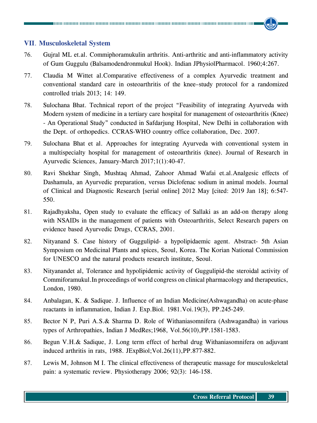#### **VII**. **Musculoskeletal System**

- 76. Gujral ML et.al. Commiphoramukulin arthritis. Anti-arthritic and anti-inflammatory activity of Gum Guggulu (Balsamodendronmukul Hook). Indian JPhysiolPharmacol. 1960;4:267.
- 77. Claudia M Wittet al.Comparative effectiveness of a complex Ayurvedic treatment and conventional standard care in osteoarthritis of the knee–study protocol for a randomized controlled trials 2013; 14: 149.
- 78. Sulochana Bhat. Technical report of the project "Feasibility of integrating Ayurveda with Modern system of medicine in a tertiary care hospital for management of osteoarthritis (Knee) - An Operational Study" conducted in Safdarjung Hospital, New Delhi in collaboration with the Dept. of orthopedics. CCRAS-WHO country office collaboration, Dec. 2007.
- 79. Sulochana Bhat et al. Approaches for integrating Ayurveda with conventional system in a multispecialty hospital for management of osteoarthritis (knee). Journal of Research in Ayurvedic Sciences, January-March 2017;1(1):40-47.
- 80. Ravi Shekhar Singh, Mushtaq Ahmad, Zahoor Ahmad Wafai et.al.Analgesic effects of Dashamula, an Ayurvedic preparation, versus Diclofenac sodium in animal models. Journal of Clinical and Diagnostic Research [serial online] 2012 May [cited: 2019 Jan 18]; 6:547- 550.
- 81. Rajadhyaksha, Open study to evaluate the efficacy of Sallaki as an add-on therapy along with NSAIDs in the management of patients with Osteoarthritis, Select Research papers on evidence based Ayurvedic Drugs, CCRAS, 2001.
- 82. Nityanand S. Case history of Guggulipid- a hypolipidaemic agent. Abstract- 5th Asian Symposium on Medicinal Plants and spices, Seoul, Korea. The Korian National Commission for UNESCO and the natural products research institute, Seoul.
- 83. Nityanandet al, Tolerance and hypolipidemic activity of Guggulipid-the steroidal activity of Commiforamukul.In proceedings of world congress on clinical pharmacology and therapeutics, London, 1980.
- 84. Anbalagan, K. & Sadique. J. Influence of an Indian Medicine(Ashwagandha) on acute-phase reactants in inflammation, Indian J. Exp.Biol. 1981.Voi.19(3), PP.245-249.
- 85. Bector N P, Puri A.S.& Sharma D. Role of Withaniasomnifera (Ashwagandha) in various types of Arthropathies, Indian J MedRes;1968, Vol.56(10),PP.1581-1583.
- 86. Begun V.H.& Sadique, J. Long term effect of herbal drug Withaniasomnifera on adjuvant induced arthritis in rats, 1988. JExpBiol;Vol.26(11),PP.877-882.
- 87. Lewis M, Johnson M I. The clinical effectiveness of therapeutic massage for musculoskeletal pain: a systematic review. Physiotherapy 2006; 92(3): 146-158.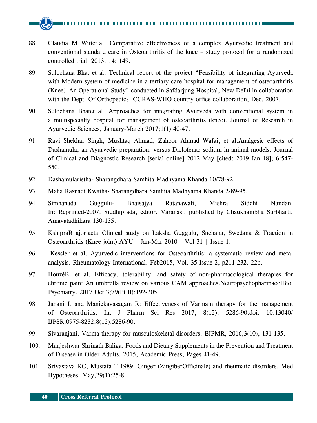- 88. Claudia M Wittet.al. Comparative effectiveness of a complex Ayurvedic treatment and conventional standard care in Osteoarthritis of the knee – study protocol for a randomized controlled trial. 2013; 14: 149.
- 89. Sulochana Bhat et al. Technical report of the project "Feasibility of integrating Ayurveda with Modern system of medicine in a tertiary care hospital for management of osteoarthritis (Knee)–An Operational Study" conducted in Safdarjung Hospital, New Delhi in collaboration with the Dept. Of Orthopedics. CCRAS-WHO country office collaboration, Dec. 2007.
- 90. Sulochana Bhatet al. Approaches for integrating Ayurveda with conventional system in a multispecialty hospital for management of osteoarthritis (knee). Journal of Research in Ayurvedic Sciences, January-March 2017;1(1):40-47.
- 91. Ravi Shekhar Singh, Mushtaq Ahmad, Zahoor Ahmad Wafai, et al.Analgesic effects of Dashamula, an Ayurvedic preparation, versus Diclofenac sodium in animal models. Journal of Clinical and Diagnostic Research [serial online] 2012 May [cited: 2019 Jan 18]; 6:547- 550.
- 92. Dashamularistha- Sharangdhara Samhita Madhyama Khanda 10/78-92.
- 93. Maha Rasnadi Kwatha- Sharangdhara Samhita Madhyama Khanda 2/89-95.
- 94. Simhanada Guggulu- Bhaisajya Ratanawali, Mishra Siddhi Nandan. In: Reprinted-2007. Siddhiprada, editor. Varanasi: published by Chaukhambha Surbharti, Amavatadhikara 130-135.
- 95. KshipraR ajoriaetal.Clinical study on Laksha Guggulu, Snehana, Swedana & Traction in Osteoarthritis (Knee joint).AYU | Jan-Mar 2010 | Vol 31 | Issue 1.
- 96. Kessler et al. Ayurvedic interventions for Osteoarthritis: a systematic review and metaanalysis. Rheumatology International. Feb2015, Vol. 35 Issue 2, p211-232. 22p.
- 97. HouzéB. et al. Efficacy, tolerability, and safety of non-pharmacological therapies for chronic pain: An umbrella review on various CAM approaches.NeuropsychopharmacolBiol Psychiatry. 2017 Oct 3;79(Pt B):192-205.
- 98. Janani L and Manickavasagam R: Effectiveness of Varmam therapy for the management of Osteoarthritis. Int J Pharm Sci Res 2017; 8(12): 5286-90.doi: 10.13040/ IJPSR.0975-8232.8(12).5286-90.
- 99. Sivaranjani. Varma therapy for musculoskeletal disorders. EJPMR, 2016,3(10), 131-135.
- 100. Manjeshwar Shrinath Baliga. Foods and Dietary Supplements in the Prevention and Treatment of Disease in Older Adults. 2015, Academic Press, Pages 41-49.
- 101. Srivastava KC, Mustafa T.1989. Ginger (ZingiberOfficinale) and rheumatic disorders. Med Hypotheses. May,29(1):25-8.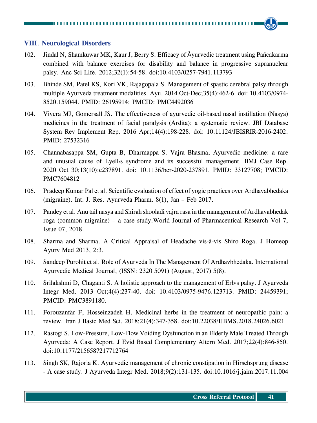#### **VIII**. **Neurological Disorders**

- 102. Jindal N, Shamkuwar MK, Kaur J, Berry S. Efficacy of Āyurvedic treatment using Pañcakarma combined with balance exercises for disability and balance in progressive supranuclear palsy. Anc Sci Life. 2012;32(1):54-58. doi:10.4103/0257-7941.113793
- 103. Bhinde SM, Patel KS, Kori VK, Rajagopala S. Management of spastic cerebral palsy through multiple Ayurveda treatment modalities. Ayu. 2014 Oct-Dec;35(4):462-6. doi: 10.4103/0974- 8520.159044. PMID: 26195914; PMCID: PMC4492036
- 104. Vivera MJ, Gomersall JS. The effectiveness of ayurvedic oil-based nasal instillation (Nasya) medicines in the treatment of facial paralysis (Ardita): a systematic review. JBI Database System Rev Implement Rep. 2016 Apr;14(4):198-228. doi: 10.11124/JBISRIR-2016-2402. PMID: 27532316
- 105. Channabasappa SM, Gupta B, Dharmappa S. Vajra Bhasma, Ayurvedic medicine: a rare and unusual cause of Lyell›s syndrome and its successful management. BMJ Case Rep. 2020 Oct 30;13(10):e237891. doi: 10.1136/bcr-2020-237891. PMID: 33127708; PMCID: PMC7604812
- 106. Pradeep Kumar Pal et al. Scientific evaluation of effect of yogic practices over Ardhavabhedaka (migraine). Int. J. Res. Ayurveda Pharm. 8(1), Jan – Feb 2017.
- 107. Pandey et al. Anu tail nasya and Shirah shooladi vajra rasa in the management of Ardhavabhedak roga (common migraine) – a case study.World Journal of Pharmaceutical Research Vol 7, Issue 07, 2018.
- 108. Sharma and Sharma. A Critical Appraisal of Headache vis-à-vis Shiro Roga. J Homeop Ayurv Med 2013, 2:3.
- 109. Sandeep Purohit et al. Role of Ayurveda In The Management Of Ardhavbhedaka. International Ayurvedic Medical Journal, (ISSN: 2320 5091) (August, 2017) 5(8).
- 110. Srilakshmi D, Chaganti S. A holistic approach to the management of Erb›s palsy. J Ayurveda Integr Med. 2013 Oct;4(4):237-40. doi: 10.4103/0975-9476.123713. PMID: 24459391; PMCID: PMC3891180.
- 111. Forouzanfar F, Hosseinzadeh H. Medicinal herbs in the treatment of neuropathic pain: a review. Iran J Basic Med Sci. 2018;21(4):347-358. doi:10.22038/IJBMS.2018.24026.6021
- 112. Rastogi S. Low-Pressure, Low-Flow Voiding Dysfunction in an Elderly Male Treated Through Ayurveda: A Case Report. J Evid Based Complementary Altern Med. 2017;22(4):846-850. doi:10.1177/2156587217712764
- 113. Singh SK, Rajoria K. Ayurvedic management of chronic constipation in Hirschsprung disease - A case study. J Ayurveda Integr Med. 2018;9(2):131-135. doi:10.1016/j.jaim.2017.11.004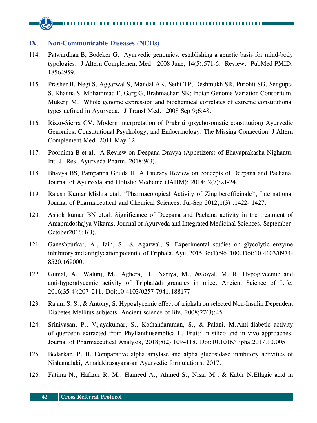#### **IX**. **Non**-**Communicable Diseases** (**NCDs**)

- 114. Patwardhan B, Bodeker G. Ayurvedic genomics: establishing a genetic basis for mind-body typologies. J Altern Complement Med. 2008 June; 14(5):571-6. Review. PubMed PMID: 18564959.
- 115. Prasher B, Negi S, Aggarwal S, Mandal AK, Sethi TP, Deshmukh SR, Purohit SG, Sengupta S, Khanna S, Mohammad F, Garg G, Brahmachari SK; Indian Genome Variation Consortium, Mukerji M. Whole genome expression and biochemical correlates of extreme constitutional types defined in Ayurveda. J Transl Med. 2008 Sep 9;6:48.
- 116. Rizzo-Sierra CV. Modern interpretation of Prakriti (psychosomatic constitution) Ayurvedic Genomics, Constitutional Psychology, and Endocrinology: The Missing Connection. J Altern Complement Med. 2011 May 12.
- 117. Poornima B et al. A Review on Deepana Dravya (Appetizers) of Bhavaprakasha Nighantu. Int. J. Res. Ayurveda Pharm. 2018;9(3).
- 118. Bhavya BS, Pampanna Gouda H. A Literary Review on concepts of Deepana and Pachana. Journal of Ayurveda and Holistic Medicine (JAHM); 2014; 2(7):21-24.
- 119. Rajesh Kumar Mishra etal. "Pharmacological Activity of Zingiberofficinale", International Journal of Pharmaceutical and Chemical Sciences. Jul-Sep 2012;1(3) :1422- 1427.
- 120. Ashok kumar BN et.al. Significance of Deepana and Pachana activity in the treatment of Amapradoshajya Vikaras. Journal of Ayurveda and Integrated Medicinal Sciences. September-October2016;1(3).
- 121. Ganeshpurkar, A., Jain, S., & Agarwal, S. Experimental studies on glycolytic enzyme inhibitory and antiglycation potential of Triphala. Ayu, 2015.36(1):96–100. Doi:10.4103/0974- 8520.169000.
- 122. Gunjal, A., Walunj, M., Aghera, H., Nariya, M., &Goyal, M. R. Hypoglycemic and anti-hyperglycemic activity of Triphalādi granules in mice. Ancient Science of Life, 2016;35(4):207–211. Doi:10.4103/0257-7941.188177
- 123. Rajan, S. S., & Antony, S. Hypoglycemic effect of triphala on selected Non-Insulin Dependent Diabetes Mellitus subjects. Ancient science of life, 2008;27(3):45.
- 124. Srinivasan, P., Vijayakumar, S., Kothandaraman, S., & Palani, M.Anti-diabetic activity of quercetin extracted from Phyllanthusemblica L. Fruit: In silico and in vivo approaches. Journal of Pharmaceutical Analysis, 2018;8(2):109–118. Doi:10.1016/j.jpha.2017.10.005
- 125. Bedarkar, P. B. Comparative alpha amylase and alpha glucosidase inhibitory activities of Nishamalaki, Amalakirasayana-an Ayurvedic formulations. 2017.
- 126. Fatima N., Hafizur R. M., Hameed A., Ahmed S., Nisar M., & Kabir N.Ellagic acid in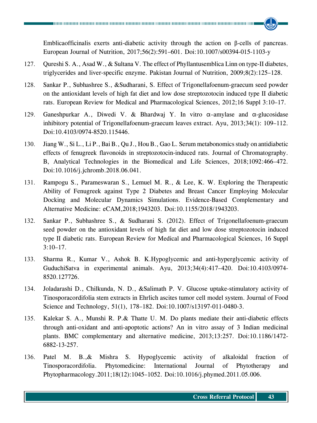Emblicaofficinalis exerts anti-diabetic activity through the action on β-cells of pancreas. European Journal of Nutrition, 2017;56(2):591–601. Doi:10.1007/s00394-015-1103-y

- 127. Qureshi S. A., Asad W., & Sultana V. The effect of Phyllantusemblica Linn on type-II diabetes, triglycerides and liver-specific enzyme. Pakistan Journal of Nutrition, 2009;8(2):125–128.
- 128. Sankar P., Subhashree S., &Sudharani, S. Effect of Trigonellafoenum-graecum seed powder on the antioxidant levels of high fat diet and low dose streptozotocin induced type II diabetic rats. European Review for Medical and Pharmacological Sciences, 2012;16 Suppl 3:10–17.
- 129. Ganeshpurkar A., Diwedi V. & Bhardwaj Y. In vitro α–amylase and α-glucosidase inhibitory potential of Trigonellafoenum-graecum leaves extract. Ayu, 2013;34(1): 109–112. Doi:10.4103/0974-8520.115446.
- 130. Jiang W., Si L., Li P., Bai B., Qu J., Hou B., Gao L. Serum metabonomics study on antidiabetic effects of fenugreek flavonoids in streptozotocin-induced rats. Journal of Chromatography. B, Analytical Technologies in the Biomedical and Life Sciences, 2018;1092:466–472. Doi:10.1016/j.jchromb.2018.06.041.
- 131. Rampogu S., Parameswaran S., Lemuel M. R., & Lee, K. W. Exploring the Therapeutic Ability of Fenugreek against Type 2 Diabetes and Breast Cancer Employing Molecular Docking and Molecular Dynamics Simulations. Evidence-Based Complementary and Alternative Medicine: eCAM,2018;1943203. Doi:10.1155/2018/1943203.
- 132. Sankar P., Subhashree S., & Sudharani S. (2012). Effect of Trigonellafoenum-graecum seed powder on the antioxidant levels of high fat diet and low dose streptozotocin induced type II diabetic rats. European Review for Medical and Pharmacological Sciences, 16 Suppl 3:10–17.
- 133. Sharma R., Kumar V., Ashok B. K.Hypoglycemic and anti-hyperglycemic activity of GuduchiSatva in experimental animals. Ayu, 2013;34(4):417–420. Doi:10.4103/0974- 8520.127726.
- 134. Joladarashi D., Chilkunda, N. D., &Salimath P. V. Glucose uptake-stimulatory activity of Tinosporacordifolia stem extracts in Ehrlich ascites tumor cell model system. Journal of Food Science and Technology, 51(1), 178–182. Doi:10.1007/s13197-011-0480-3.
- 135. Kalekar S. A., Munshi R. P.& Thatte U. M. Do plants mediate their anti-diabetic effects through anti-oxidant and anti-apoptotic actions? An in vitro assay of 3 Indian medicinal plants. BMC complementary and alternative medicine, 2013;13:257. Doi:10.1186/1472- 6882-13-257.
- 136. Patel M. B.,& Mishra S. Hypoglycemic activity of alkaloidal fraction of Tinosporacordifolia. Phytomedicine: International Journal of Phytotherapy and Phytopharmacology.2011;18(12):1045–1052. Doi:10.1016/j.phymed.2011.05.006.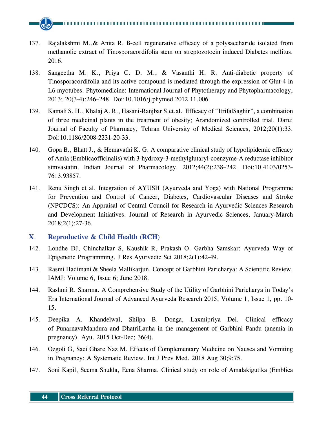- 137. Rajalakshmi M.,& Anita R. Β-cell regenerative efficacy of a polysaccharide isolated from methanolic extract of Tinosporacordifolia stem on streptozotocin induced Diabetes mellitus. 2016.
- 138. Sangeetha M. K., Priya C. D. M., & Vasanthi H. R. Anti-diabetic property of Tinosporacordifolia and its active compound is mediated through the expression of Glut-4 in L6 myotubes. Phytomedicine: International Journal of Phytotherapy and Phytopharmacology, 2013; 20(3-4):246–248. Doi:10.1016/j.phymed.2012.11.006.
- 139. Kamali S. H., Khalaj A. R., Hasani-Ranjbar S.et.al. Efficacy of "ItrifalSaghir", a combination of three medicinal plants in the treatment of obesity; Arandomized controlled trial. Daru: Journal of Faculty of Pharmacy, Tehran University of Medical Sciences, 2012;20(1):33. Doi:10.1186/2008-2231-20-33.
- 140. Gopa B., Bhatt J., & Hemavathi K. G. A comparative clinical study of hypolipidemic efficacy of Amla (Emblicaofficinalis) with 3-hydroxy-3-methylglutaryl-coenzyme-A reductase inhibitor simvastatin. Indian Journal of Pharmacology. 2012;44(2):238–242. Doi:10.4103/0253- 7613.93857.
- 141. Renu Singh et al. Integration of AYUSH (Ayurveda and Yoga) with National Programme for Prevention and Control of Cancer, Diabetes, Cardiovascular Diseases and Stroke (NPCDCS): An Appraisal of Central Council for Research in Ayurvedic Sciences Research and Development Initiatives. Journal of Research in Ayurvedic Sciences, January-March 2018;2(1):27-36.

#### **X**. **Reproductive & Child Health** (**RCH**)

- 142. Londhe DJ, Chinchalkar S, Kaushik R, Prakash O. Garbha Samskar: Ayurveda Way of Epigenetic Programming. J Res Ayurvedic Sci 2018;2(1):42-49.
- 143. Rasmi Hadimani & Sheela Mallikarjun. Concept of Garbhini Paricharya: A Scientific Review. IAMJ: Volume 6, Issue 6; June 2018.
- 144. Rashmi R. Sharma. A Comprehensive Study of the Utility of Garbhini Paricharya in Today's Era International Journal of Advanced Ayurveda Research 2015, Volume 1, Issue 1, pp. 10- 15.
- 145. Deepika A. Khandelwal, Shilpa B. Donga, Laxmipriya Dei. Clinical efficacy of PunarnavaMandura and DhatriLauha in the management of Garbhini Pandu (anemia in pregnancy). Ayu. 2015 Oct-Dec; 36(4).
- 146. Ozgoli G, Saei Ghare Naz M. Effects of Complementary Medicine on Nausea and Vomiting in Pregnancy: A Systematic Review. Int J Prev Med. 2018 Aug 30;9:75.
- 147. Soni Kapil, Seema Shukla, Eena Sharma. Clinical study on role of Amalakigutika (Emblica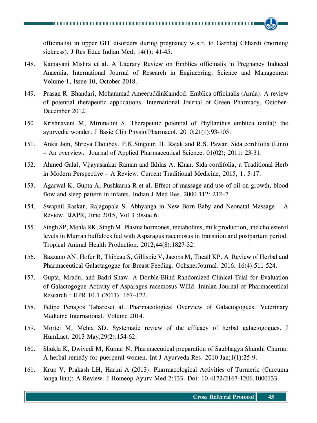officinalis) in upper GIT disorders during pregnancy w.s.r. to Garbhaj Chhardi (morning sickness). J Res Educ Indian Med; 14(1): 41-45.

- 148. Kamayani Mishra et al. A Literary Review on Emblica officinalis in Pregnancy Induced Anaemia. International Journal of Research in Engineering, Science and Management Volume-1, Issue-10, October-2018.
- 149. Prasan R. Bhandari, Mohammad AmeeruddinKamdod. Emblica officinalis (Amla): A review of potential therapeutic applications. International Journal of Green Pharmacy, October-December 2012.
- 150. Krishnaveni M, Mirunalini S. Therapeutic potential of Phyllanthus emblica (amla): the ayurvedic wonder. J Basic Clin PhysiolPharmacol. 2010;21(1):93-105.
- 151. Ankit Jain, Shreya Choubey, P.K.Singour, H. Rajak and R.S. Pawar. Sida cordifolia (Linn) – An overview. Journal of Applied Pharmaceutical Science. 01(02); 2011: 23-31.
- 152. Ahmed Galal, Vijayasankar Raman and Ikhlas A. Khan. Sida cordifolia, a Traditional Herb in Modern Perspective – A Review. Current Traditional Medicine, 2015, 1, 5-17.
- 153. Agarwal K, Gupta A, Pushkarna R et al. Effect of massage and use of oil on growth, blood flow and sleep pattern in infants. Indian J Med Res. 2000 112: 212–7
- 154. Swapnil Raskar, Rajagopala S. Abhyanga in New Born Baby and Neonatal Massage A Review. IJAPR, June 2015, Vol 3 :Issue 6.
- 155. Singh SP, Mehla RK, Singh M. Plasma hormones, metabolites, milk production, and cholesterol levels in Murrah buffaloes fed with Asparagus racemosus in transition and postpartum period. Tropical Animal Health Production. 2012;44(8):1827-32.
- 156. Bazzano AN, Hofer R, Thibeau S, Gillispie V, Jacobs M, Theall KP. A Review of Herbal and Pharmaceutical Galactagogue for Breast-Feeding. OchsnerJournal. 2016; 16(4):511-524.
- 157. Gupta, Mradu, and Badri Shaw. A Double-Blind Randomized Clinical Trial for Evaluation of Galactogogue Activity of Asparagus racemosus Willd. Iranian Journal of Pharmaceutical Research : IJPR 10.1 (2011): 167–172.
- 158. Felipe Penagos Tabareset al. Pharmacological Overview of Galactogogues. Veterinary Medicine International. Volume 2014.
- 159. Mortel M, Mehta SD. Systematic review of the efficacy of herbal galactogogues. J HumLact. 2013 May;29(2):154-62.
- 160. Shukla K, Dwivedi M, Kumar N. Pharmaceutical preparation of Saubhagya Shunthi Churna: A herbal remedy for puerperal women. Int J Ayurveda Res. 2010 Jan;1(1):25-9.
- 161. Krup V, Prakash LH, Harini A (2013). Pharmacological Activities of Turmeric (Curcuma longa linn): A Review. J Homeop Ayurv Med 2:133. Doi: 10.4172/2167-1206.1000133.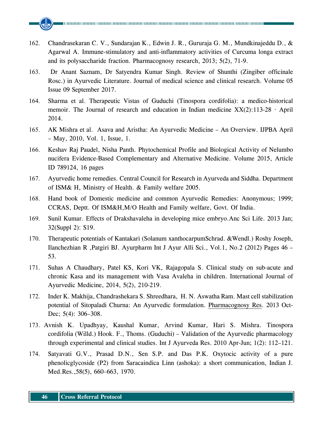- 162. Chandrasekaran C. V., Sundarajan K., Edwin J. R., Gururaja G. M., Mundkinajeddu D., & Agarwal A. Immune-stimulatory and anti-inflammatory activities of Curcuma longa extract and its polysaccharide fraction. Pharmacognosy research, 2013; 5(2), 71-9.
- 163. Dr Anant Saznam, Dr Satyendra Kumar Singh. Review of Shunthi (Zingiber officinale Rosc.) in Ayurvedic Literature. Journal of medical science and clinical research. Volume 05 Issue 09 September 2017.
- 164. Sharma et al. Therapeutic Vistas of Guduchi (Tinospora cordifolia): a medico-historical memoir. The Journal of research and education in Indian medicine  $XX(2)$ :113-28 · April 2014.
- 165. AK Mishra et al. Asava and Aristha: An Ayurvedic Medicine An Overview. IJPBA April – May, 2010, Vol. 1, Issue, 1.
- 166. Keshav Raj Paudel, Nisha Panth. Phytochemical Profile and Biological Activity of Nelumbo nucifera Evidence-Based Complementary and Alternative Medicine. Volume 2015, Article ID 789124, 16 pages
- 167. Ayurvedic home remedies. Central Council for Research in Ayurveda and Siddha. Department of ISM& H, Ministry of Health. & Family welfare 2005.
- 168. Hand book of Domestic medicine and common Ayurvedic Remedies: Anonymous; 1999; CCRAS, Deptt. Of ISM&H,M/O Health and Family welfare, Govt. Of India.
- 169. Sunil Kumar. Effects of Drakshavaleha in developing mice embryo.Anc Sci Life. 2013 Jan; 32(Suppl 2): S19.
- 170. Therapeutic potentials of Kantakari (Solanum xanthocarpumSchrad. &Wendl.) Roshy Joseph, Ilanchezhian R ,Patgiri BJ. Ayurpharm Int J Ayur Alli Sci., Vol.1, No.2 (2012) Pages 46 – 53.
- 171. Suhas A Chaudhary, Patel KS, Kori VK, Rajagopala S. Clinical study on sub-acute and chronic Kasa and its management with Vasa Avaleha in children. International Journal of Ayurvedic Medicine, 2014, 5(2), 210-219.
- 172. Inder K. Makhija, Chandrashekara S. Shreedhara, H. N. Aswatha Ram. Mast cell stabilization potential of Sitopaladi Churna: An Ayurvedic formulation. Pharmacognosy Res. 2013 Oct-Dec; 5(4): 306–308.
- 173. Avnish K. Upadhyay, Kaushal Kumar, Arvind Kumar, Hari S. Mishra. Tinospora cordifolia (Willd.) Hook. F., Thoms. (Guduchi) – Validation of the Ayurvedic pharmacology through experimental and clinical studies. Int J Ayurveda Res. 2010 Apr-Jun; 1(2): 112–121.
- 174. Satyavati G.V., Prasad D.N., Sen S.P. and Das P.K. Oxytocic activity of a pure phenolicglycoside (P2) from Saracaindica Linn (ashoka): a short communication, Indian J. Med.Res.,58(5), 660–663, 1970.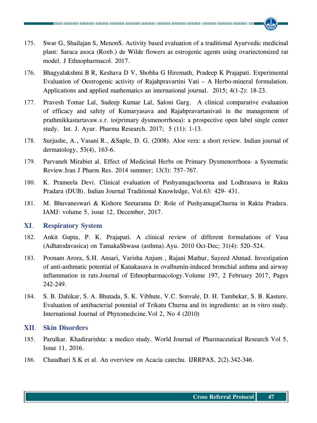- 175. Swar G, Shailajan S, MenonS. Activity based evaluation of a traditional Ayurvedic medicinal plant: Saraca asoca (Roxb.) de Wilde flowers as estrogenic agents using ovariectomized rat model. J Ethnopharmacol. 2017.
- 176. Bhagyalakshmi B R, Keshava D V, Shobha G Hiremath, Pradeep K Prajapati. Experimental Evaluation of Oestrogenic activity of Rajahpravartini Vati – A Herbo-mineral formulation. Applications and applied mathematics an international journal. 2015; 4(1-2): 18-23.
- 177. Pravesh Tomar Lal, Sudeep Kumar Lal, Saloni Garg. A clinical comparative evaluation of efficacy and safety of Kumaryasava and Rajahpravartanivati in the management of prathmikkastartavaw.s.r. to(primary dysmenorrhoea): a prospective open label single center study. Int. J. Ayur. Pharma Research. 2017; 5 (11): 1-13.
- 178. Surjushe, A., Vasani R., &Saple, D. G. (2008). Aloe vera: a short review. Indian journal of dermatology, 53(4), 163-6.
- 179. Parvaneh Mirabiet al. Effect of Medicinal Herbs on Primary Dysmenorrhoea- a Systematic Review.Iran J Pharm Res. 2014 summer; 13(3): 757–767.
- 180. K. Prameela Devi. Clinical evaluation of Pushyanugachoorna and Lodhrasava in Rakta Pradara (DUB). Indian Journal Traditional Knowledge, Vol.63: 429- 431.
- 181. M. Bhuvaneswari & Kishore Seetarama D: Role of PushyanugaChurna in Rakta Pradara. IAMJ: volume 5, issue 12, December, 2017.

#### **XI**. **Respiratory System**

- 182. Ankit Gupta, P. K. Prajapati. A clinical review of different formulations of Vasa (Adhatodavasica) on TamakaShwasa (asthma).Ayu. 2010 Oct-Dec; 31(4): 520–524.
- 183. Poonam Arora, S.H. Ansari, Varisha Anjum , Rajani Mathur, Sayeed Ahmad. Investigation of anti-asthmatic potential of Kanakasava in ovalbumin-induced bronchial asthma and airway inflammation in rats.Journal of Ethnopharmacology.Volume 197, 2 February 2017, Pages 242-249.
- 184. S. B. Dahikar, S. A. Bhutada, S. K. Vibhute, V.C. Sonvale, D. H. Tambekar, S. B. Kasture. Evaluation of antibacterial potential of Trikatu Churna and its ingredients: an in vitro study. International Journal of Phytomedicine.Vol 2, No 4 (2010)

#### **XII**. **Skin Disorders**

- 185. Parulkar. Khadirarishta: a medico study. World Journal of Pharmaceutical Research Vol 5, Issue 11, 2016.
- 186. Chaudhari S.K et al. An overview on Acacia catechu. IJRRPAS, 2(2).342-346.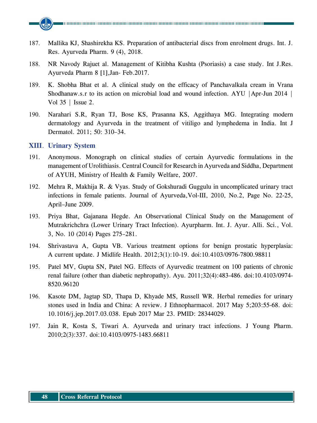

- 187. Mallika KJ, Shashirekha KS. Preparation of antibacterial discs from enrolment drugs. Int. J. Res. Ayurveda Pharm. 9 (4), 2018.
- 188. NR Navody Rajuet al. Management of Kitibha Kushta (Psoriasis) a case study. Int J.Res. Ayurveda Pharm 8 [1],Jan- Feb.2017.
- 189. K. Shobha Bhat et al. A clinical study on the efficacy of Panchavalkala cream in Vrana Shodhanaw.s.r to its action on microbial load and wound infection. AYU |Apr-Jun 2014 | Vol 35 | Issue 2.
- 190. Narahari S.R, Ryan TJ, Bose KS, Prasanna KS, Aggithaya MG. Integrating modern dermatology and Ayurveda in the treatment of vitiligo and lymphedema in India. Int J Dermatol. 2011; 50: 310–34.

#### **XIII**. **Urinary System**

- 191. Anonymous. Monograph on clinical studies of certain Ayurvedic formulations in the management of Urolithiasis. Central Council for Research in Ayurveda and Siddha, Department of AYUH, Ministry of Health & Family Welfare, 2007.
- 192. Mehra R, Makhija R. & Vyas. Study of Gokshuradi Guggulu in uncomplicated urinary tract infections in female patients. Journal of Ayurveda,Vol-III, 2010, No.2, Page No. 22-25, April–June 2009.
- 193. Priya Bhat, Gajanana Hegde. An Observational Clinical Study on the Management of Mutrakrichchra (Lower Urinary Tract Infection). Ayurpharm. Int. J. Ayur. Alli. Sci., Vol. 3, No. 10 (2014) Pages 275–281.
- 194. Shrivastava A, Gupta VB. Various treatment options for benign prostatic hyperplasia: A current update. J Midlife Health. 2012;3(1):10-19. doi:10.4103/0976-7800.98811
- 195. Patel MV, Gupta SN, Patel NG. Effects of Ayurvedic treatment on 100 patients of chronic renal failure (other than diabetic nephropathy). Ayu. 2011;32(4):483-486. doi:10.4103/0974- 8520.96120
- 196. Kasote DM, Jagtap SD, Thapa D, Khyade MS, Russell WR. Herbal remedies for urinary stones used in India and China: A review. J Ethnopharmacol. 2017 May 5;203:55-68. doi: 10.1016/j.jep.2017.03.038. Epub 2017 Mar 23. PMID: 28344029.
- 197. Jain R, Kosta S, Tiwari A. Ayurveda and urinary tract infections. J Young Pharm. 2010;2(3):337. doi:10.4103/0975-1483.66811